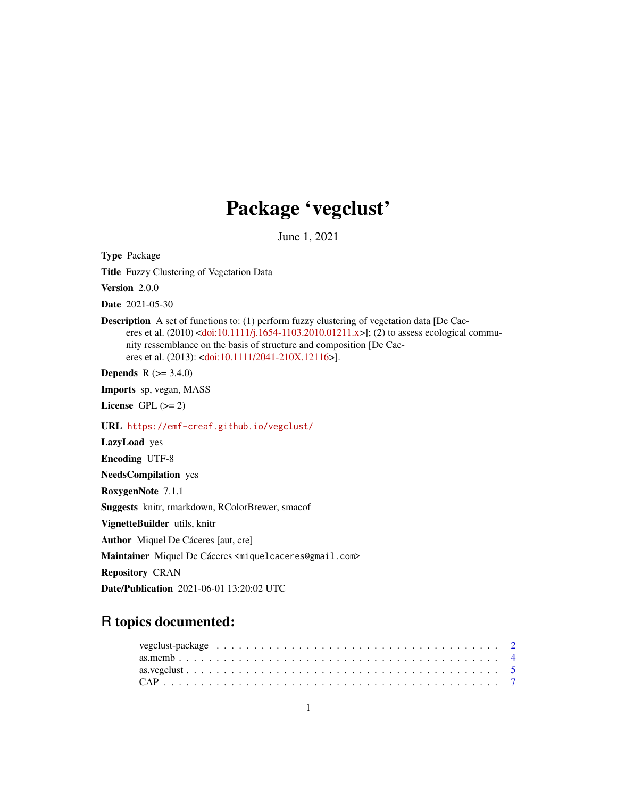## Package 'vegclust'

June 1, 2021

<span id="page-0-0"></span>Type Package

Title Fuzzy Clustering of Vegetation Data

Version 2.0.0

Date 2021-05-30

Description A set of functions to: (1) perform fuzzy clustering of vegetation data [De Cac-eres et al. (2010) [<doi:10.1111/j.1654-1103.2010.01211.x>](https://doi.org/10.1111/j.1654-1103.2010.01211.x)]; (2) to assess ecological community ressemblance on the basis of structure and composition [De Caceres et al. (2013): [<doi:10.1111/2041-210X.12116>](https://doi.org/10.1111/2041-210X.12116)].

**Depends** R  $(>= 3.4.0)$ 

Imports sp, vegan, MASS

License GPL  $(>= 2)$ 

URL <https://emf-creaf.github.io/vegclust/>

LazyLoad yes

Encoding UTF-8

NeedsCompilation yes

RoxygenNote 7.1.1

Suggests knitr, rmarkdown, RColorBrewer, smacof

VignetteBuilder utils, knitr

Author Miquel De Cáceres [aut, cre]

Maintainer Miquel De Cáceres <miquelcaceres@gmail.com>

Repository CRAN

Date/Publication 2021-06-01 13:20:02 UTC

## R topics documented: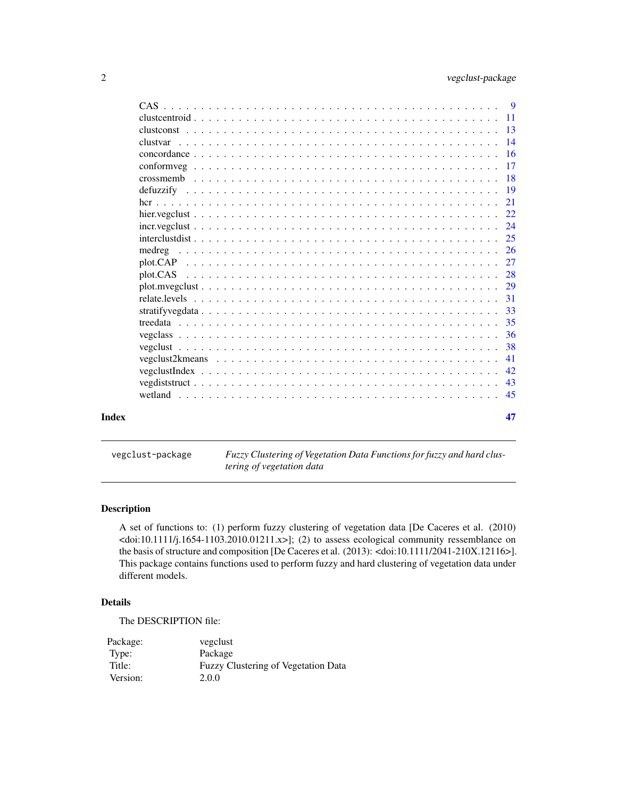<span id="page-1-0"></span>

|       | CAS             |  |
|-------|-----------------|--|
|       | 11              |  |
|       | $\overline{13}$ |  |
|       | $\overline{14}$ |  |
|       |                 |  |
|       |                 |  |
|       | -18             |  |
|       |                 |  |
|       | 21              |  |
|       |                 |  |
|       |                 |  |
|       | 25              |  |
|       | -26             |  |
|       | 27              |  |
|       | 28              |  |
|       |                 |  |
|       |                 |  |
|       |                 |  |
|       |                 |  |
|       |                 |  |
|       | 38              |  |
|       | 41              |  |
|       | 42              |  |
|       | 43              |  |
|       | 45              |  |
|       |                 |  |
| Index | 47              |  |
|       |                 |  |

vegclust-package *Fuzzy Clustering of Vegetation Data Functions for fuzzy and hard clustering of vegetation data*

## Description

A set of functions to: (1) perform fuzzy clustering of vegetation data [De Caceres et al. (2010)  $\langle \text{doi:10.1111/j.1654-1103.2010.01211.x}\rangle$ ; (2) to assess ecological community ressemblance on the basis of structure and composition [De Caceres et al. (2013): <doi:10.1111/2041-210X.12116>]. This package contains functions used to perform fuzzy and hard clustering of vegetation data under different models.

## Details

The DESCRIPTION file:

| Package: | vegclust                                   |
|----------|--------------------------------------------|
| Type:    | Package                                    |
| Title:   | <b>Fuzzy Clustering of Vegetation Data</b> |
| Version: | 2.0.0                                      |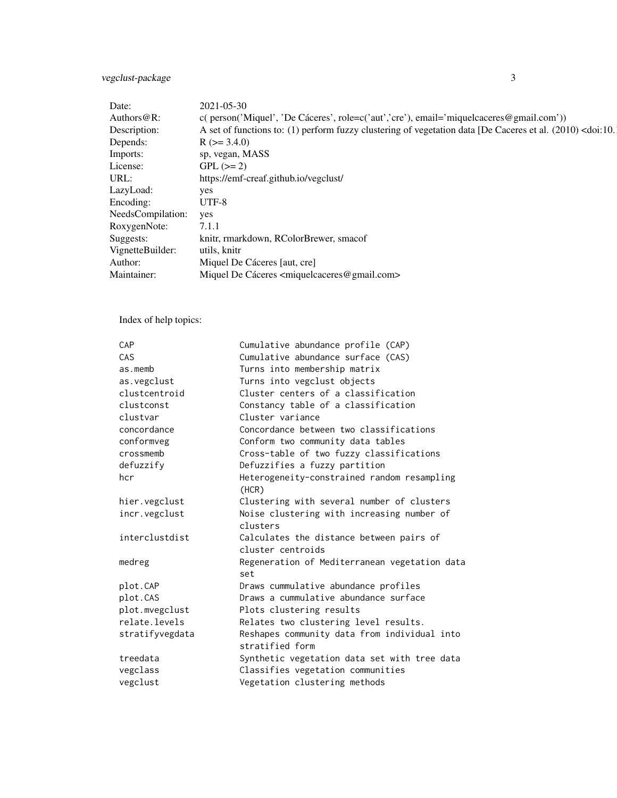## vegclust-package 3

| Date:                 | 2021-05-30                                                                                                                   |
|-----------------------|------------------------------------------------------------------------------------------------------------------------------|
| Authors@R:            | $c$ ( person('Miquel', 'De Cáceres', role= $c$ ('aut','cre'), email='miquelcaceres@gmail.com'))                              |
| Description:          | A set of functions to: (1) perform fuzzy clustering of vegetation data [De Caceres et al. (2010) <doi:10.< td=""></doi:10.<> |
| Depends:              | $R (= 3.4.0)$                                                                                                                |
| Imports:              | sp, vegan, MASS                                                                                                              |
| License:              | $GPL (= 2)$                                                                                                                  |
| URL:                  | https://emf-creaf.github.io/vegclust/                                                                                        |
| LazyLoad:             | yes                                                                                                                          |
| Encoding:             | UTF-8                                                                                                                        |
| NeedsCompilation: yes |                                                                                                                              |
| RoxygenNote:          | 7.1.1                                                                                                                        |
| Suggests:             | knitr, rmarkdown, RColorBrewer, smacof                                                                                       |
| VignetteBuilder:      | utils, knitr                                                                                                                 |
| Author:               | Miquel De Cáceres [aut, cre]                                                                                                 |
| Maintainer:           | Miquel De Cáceres <miquelcaceres@gmail.com></miquelcaceres@gmail.com>                                                        |
|                       |                                                                                                                              |

Index of help topics:

| CAP             | Cumulative abundance profile (CAP)                              |
|-----------------|-----------------------------------------------------------------|
| CAS             | Cumulative abundance surface (CAS)                              |
| as.memb         | Turns into membership matrix                                    |
| as.vegclust     | Turns into vegclust objects                                     |
| clustcentroid   | Cluster centers of a classification                             |
| clustconst      | Constancy table of a classification                             |
| clustvar        | Cluster variance                                                |
| concordance     | Concordance between two classifications                         |
| conformveg      | Conform two community data tables                               |
| crossmemb       | Cross-table of two fuzzy classifications                        |
| defuzzify       | Defuzzifies a fuzzy partition                                   |
| hcr             | Heterogeneity-constrained random resampling<br>(HCR)            |
| hier.vegclust   | Clustering with several number of clusters                      |
| incr.vegclust   | Noise clustering with increasing number of<br>clusters          |
| interclustdist  | Calculates the distance between pairs of<br>cluster centroids   |
| medreg          | Regeneration of Mediterranean vegetation data<br>set            |
| plot.CAP        | Draws cummulative abundance profiles                            |
| plot.CAS        | Draws a cummulative abundance surface                           |
| plot.mvegclust  | Plots clustering results                                        |
| relate.levels   | Relates two clustering level results.                           |
| stratifyvegdata | Reshapes community data from individual into<br>stratified form |
| treedata        | Synthetic vegetation data set with tree data                    |
| vegclass        | Classifies vegetation communities                               |
| vegclust        | Vegetation clustering methods                                   |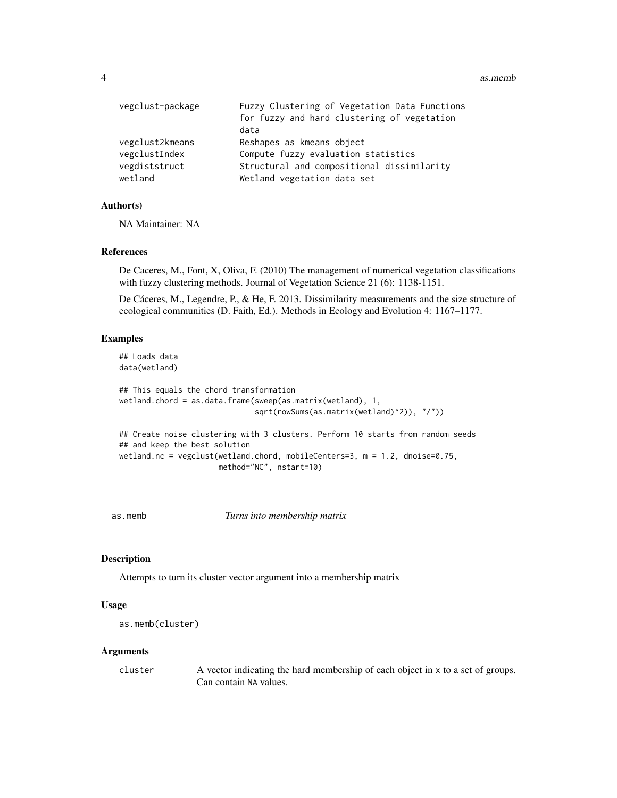<span id="page-3-0"></span>4 as.members as  $a$  as  $m$  as  $m$ 

| vegclust-package | Fuzzy Clustering of Vegetation Data Functions<br>for fuzzy and hard clustering of vegetation<br>data |
|------------------|------------------------------------------------------------------------------------------------------|
| vegclust2kmeans  | Reshapes as kmeans object                                                                            |
| vegclustIndex    | Compute fuzzy evaluation statistics                                                                  |
| vegdiststruct    | Structural and compositional dissimilarity                                                           |
| wetland          | Wetland vegetation data set                                                                          |

## Author(s)

NA Maintainer: NA

## References

De Caceres, M., Font, X, Oliva, F. (2010) The management of numerical vegetation classifications with fuzzy clustering methods. Journal of Vegetation Science 21 (6): 1138-1151.

De Cáceres, M., Legendre, P., & He, F. 2013. Dissimilarity measurements and the size structure of ecological communities (D. Faith, Ed.). Methods in Ecology and Evolution 4: 1167–1177.

## Examples

```
## Loads data
data(wetland)
## This equals the chord transformation
wetland.chord = as.data.frame(sweep(as.matrix(wetland), 1,
                              sqrt(rowSums(as.matrix(wetland)^2)), "/"))
## Create noise clustering with 3 clusters. Perform 10 starts from random seeds
## and keep the best solution
wetland.nc = vegclust(wetland.chord, mobileCenters=3, m = 1.2, dnoise=0.75,
```

```
method="NC", nstart=10)
```
as.memb *Turns into membership matrix*

### Description

Attempts to turn its cluster vector argument into a membership matrix

## Usage

```
as.memb(cluster)
```
#### Arguments

cluster A vector indicating the hard membership of each object in x to a set of groups. Can contain NA values.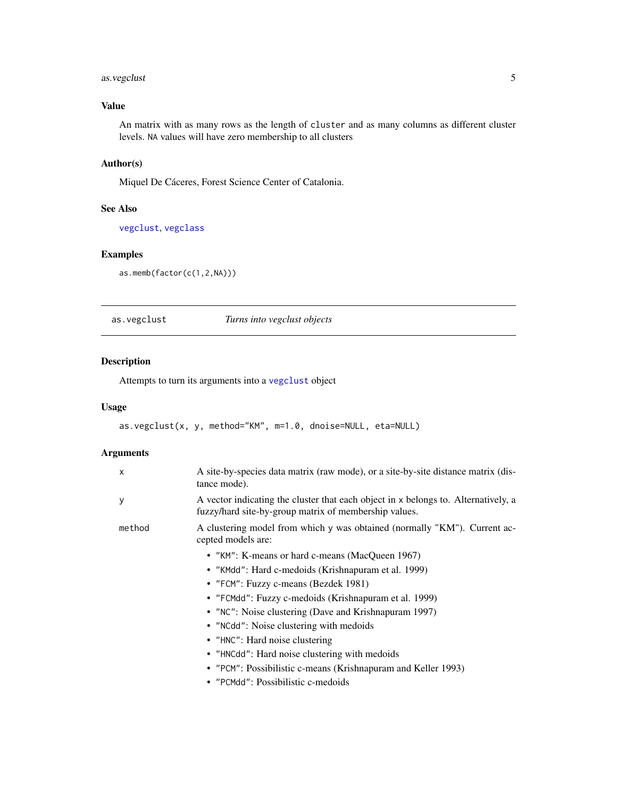## <span id="page-4-0"></span>as. vegclust 5

## Value

An matrix with as many rows as the length of cluster and as many columns as different cluster levels. NA values will have zero membership to all clusters

## Author(s)

Miquel De Cáceres, Forest Science Center of Catalonia.

## See Also

[vegclust](#page-37-1), [vegclass](#page-35-1)

## Examples

```
as.memb(factor(c(1,2,NA)))
```
<span id="page-4-1"></span>as.vegclust *Turns into vegclust objects*

## Description

Attempts to turn its arguments into a [vegclust](#page-37-1) object

#### Usage

```
as.vegclust(x, y, method="KM", m=1.0, dnoise=NULL, eta=NULL)
```
## Arguments

| $\mathsf{x}$ | A site-by-species data matrix (raw mode), or a site-by-site distance matrix (dis-<br>tance mode).                                           |
|--------------|---------------------------------------------------------------------------------------------------------------------------------------------|
| у            | A vector indicating the cluster that each object in x belongs to. Alternatively, a<br>fuzzy/hard site-by-group matrix of membership values. |
| method       | A clustering model from which y was obtained (normally "KM"). Current ac-<br>cepted models are:                                             |
|              | • "KM": K-means or hard c-means (MacQueen 1967)                                                                                             |
|              | • "KMdd": Hard c-medoids (Krishnapuram et al. 1999)                                                                                         |
|              | • "FCM": Fuzzy c-means (Bezdek 1981)                                                                                                        |
|              | • "FCMdd": Fuzzy c-medoids (Krishnapuram et al. 1999)                                                                                       |
|              | • "NC": Noise clustering (Dave and Krishnapuram 1997)                                                                                       |
|              | • "NCdd": Noise clustering with medoids                                                                                                     |
|              | • "HNC": Hard noise clustering                                                                                                              |
|              | • "HNCdd": Hard noise clustering with medoids                                                                                               |
|              | • "PCM": Possibilistic c-means (Krishnapuram and Keller 1993)                                                                               |
|              | • "PCMdd": Possibilistic c-medoids                                                                                                          |
|              |                                                                                                                                             |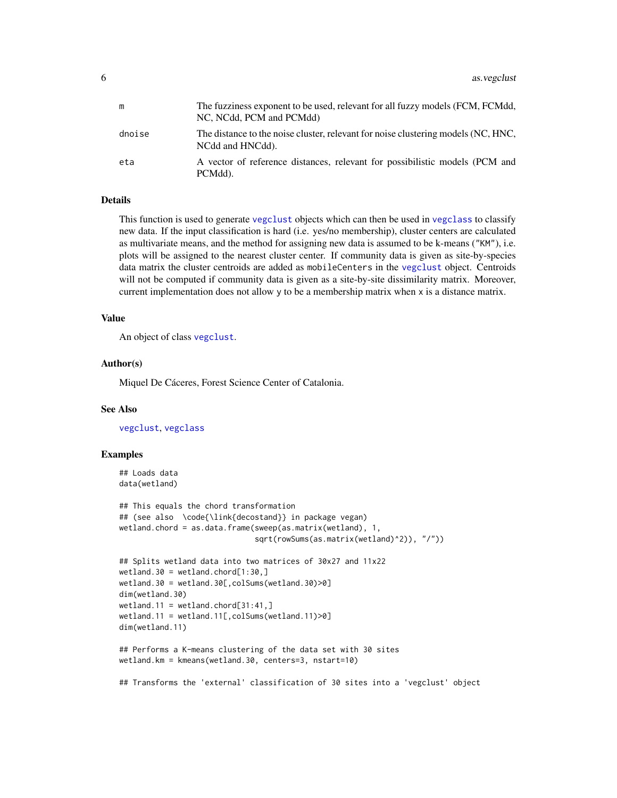<span id="page-5-0"></span>

| m      | The fuzziness exponent to be used, relevant for all fuzzy models (FCM, FCMdd,<br>NC, NCdd, PCM and PCMdd) |
|--------|-----------------------------------------------------------------------------------------------------------|
| dnoise | The distance to the noise cluster, relevant for noise clustering models (NC, HNC,<br>NCdd and HNCdd).     |
| eta    | A vector of reference distances, relevant for possibilistic models (PCM and<br>PCMdd).                    |

## Details

This function is used to generate [vegclust](#page-37-1) objects which can then be used in [vegclass](#page-35-1) to classify new data. If the input classification is hard (i.e. yes/no membership), cluster centers are calculated as multivariate means, and the method for assigning new data is assumed to be k-means ("KM"), i.e. plots will be assigned to the nearest cluster center. If community data is given as site-by-species data matrix the cluster centroids are added as mobileCenters in the [vegclust](#page-37-1) object. Centroids will not be computed if community data is given as a site-by-site dissimilarity matrix. Moreover, current implementation does not allow y to be a membership matrix when x is a distance matrix.

#### Value

An object of class [vegclust](#page-37-1).

#### Author(s)

Miquel De Cáceres, Forest Science Center of Catalonia.

## See Also

[vegclust](#page-37-1), [vegclass](#page-35-1)

#### Examples

```
## Loads data
data(wetland)
## This equals the chord transformation
## (see also \code{\link{decostand}} in package vegan)
wetland.chord = as.data.frame(sweep(as.matrix(wetland), 1,
                              sqrt(rowSums(as.matrix(wetland)^2)), "/"))
## Splits wetland data into two matrices of 30x27 and 11x22
wetland.30 = wetland.chord[1:30, ]wetland.30 = wetland.30[,colSums(wetland.30)>0]
dim(wetland.30)
wetland.11 = wetland.chord[31:41, ]wetland.11 = wetland.11[,colSums(wetland.11)>0]
dim(wetland.11)
## Performs a K-means clustering of the data set with 30 sites
wetland.km = kmeans(wetland.30, centers=3, nstart=10)
## Transforms the 'external' classification of 30 sites into a 'vegclust' object
```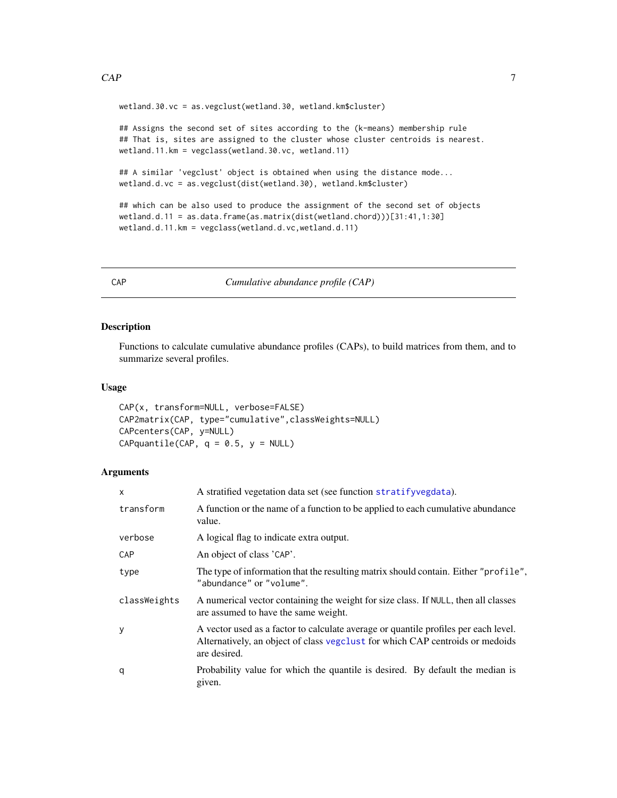<span id="page-6-0"></span>wetland.30.vc = as.vegclust(wetland.30, wetland.km\$cluster)

## Assigns the second set of sites according to the (k-means) membership rule ## That is, sites are assigned to the cluster whose cluster centroids is nearest. wetland.11.km = vegclass(wetland.30.vc, wetland.11)

```
## A similar 'vegclust' object is obtained when using the distance mode...
wetland.d.vc = as.vegclust(dist(wetland.30), wetland.km$cluster)
```

```
## which can be also used to produce the assignment of the second set of objects
wetland.d.11 = as.data.frame(as.matrix(dist(wetland.chord)))[31:41,1:30]
wetland.d.11.km = vegclass(wetland.d.vc,wetland.d.11)
```
<span id="page-6-1"></span>

CAP *Cumulative abundance profile (CAP)*

## <span id="page-6-2"></span>Description

Functions to calculate cumulative abundance profiles (CAPs), to build matrices from them, and to summarize several profiles.

## Usage

```
CAP(x, transform=NULL, verbose=FALSE)
CAP2matrix(CAP, type="cumulative",classWeights=NULL)
CAPcenters(CAP, y=NULL)
CAPquantile(CAP, q = 0.5, y = NULL)
```
#### Arguments

| X            | A stratified vegetation data set (see function stratifyvegdata).                                                                                                                     |
|--------------|--------------------------------------------------------------------------------------------------------------------------------------------------------------------------------------|
| transform    | A function or the name of a function to be applied to each cumulative abundance<br>value.                                                                                            |
| verbose      | A logical flag to indicate extra output.                                                                                                                                             |
| <b>CAP</b>   | An object of class 'CAP'.                                                                                                                                                            |
| type         | The type of information that the resulting matrix should contain. Either "profile",<br>"abundance" or "volume".                                                                      |
| classWeights | A numerical vector containing the weight for size class. If NULL, then all classes<br>are assumed to have the same weight.                                                           |
| У            | A vector used as a factor to calculate average or quantile profiles per each level.<br>Alternatively, an object of class vegelust for which CAP centroids or medoids<br>are desired. |
| q            | Probability value for which the quantile is desired. By default the median is<br>given.                                                                                              |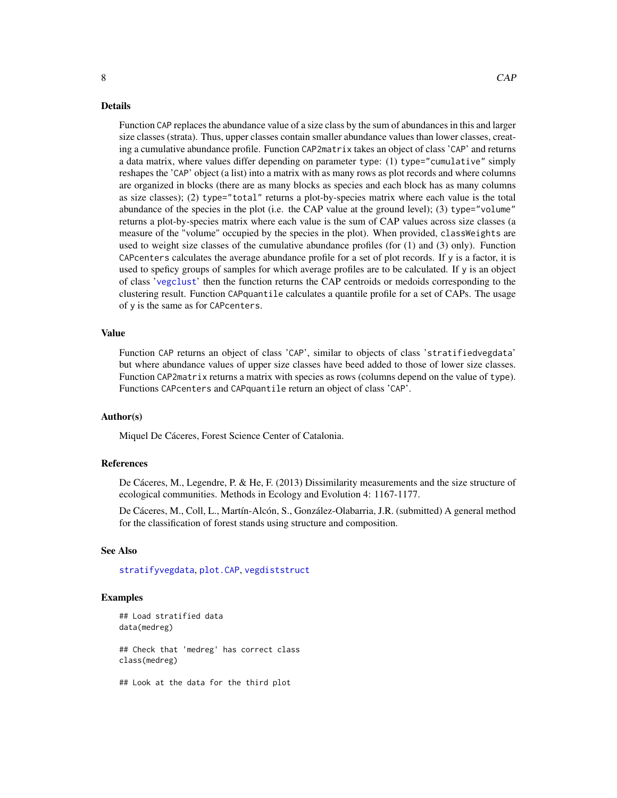#### Details

Function CAP replaces the abundance value of a size class by the sum of abundances in this and larger size classes (strata). Thus, upper classes contain smaller abundance values than lower classes, creating a cumulative abundance profile. Function CAP2matrix takes an object of class 'CAP' and returns a data matrix, where values differ depending on parameter type: (1) type="cumulative" simply reshapes the 'CAP' object (a list) into a matrix with as many rows as plot records and where columns are organized in blocks (there are as many blocks as species and each block has as many columns as size classes); (2) type="total" returns a plot-by-species matrix where each value is the total abundance of the species in the plot (i.e. the CAP value at the ground level); (3) type="volume" returns a plot-by-species matrix where each value is the sum of CAP values across size classes (a measure of the "volume" occupied by the species in the plot). When provided, classWeights are used to weight size classes of the cumulative abundance profiles (for (1) and (3) only). Function CAPcenters calculates the average abundance profile for a set of plot records. If  $y$  is a factor, it is used to speficy groups of samples for which average profiles are to be calculated. If y is an object of class '[vegclust](#page-37-1)' then the function returns the CAP centroids or medoids corresponding to the clustering result. Function CAPquantile calculates a quantile profile for a set of CAPs. The usage of y is the same as for CAPcenters.

#### Value

Function CAP returns an object of class 'CAP', similar to objects of class 'stratifiedvegdata' but where abundance values of upper size classes have beed added to those of lower size classes. Function CAP2matrix returns a matrix with species as rows (columns depend on the value of type). Functions CAPcenters and CAPquantile return an object of class 'CAP'.

#### Author(s)

Miquel De Cáceres, Forest Science Center of Catalonia.

#### **References**

De Cáceres, M., Legendre, P. & He, F. (2013) Dissimilarity measurements and the size structure of ecological communities. Methods in Ecology and Evolution 4: 1167-1177.

De Cáceres, M., Coll, L., Martín-Alcón, S., González-Olabarria, J.R. (submitted) A general method for the classification of forest stands using structure and composition.

#### See Also

[stratifyvegdata](#page-32-1), [plot.CAP](#page-26-1), [vegdiststruct](#page-42-1)

#### Examples

```
## Load stratified data
data(medreg)
## Check that 'medreg' has correct class
class(medreg)
```
## Look at the data for the third plot

<span id="page-7-0"></span>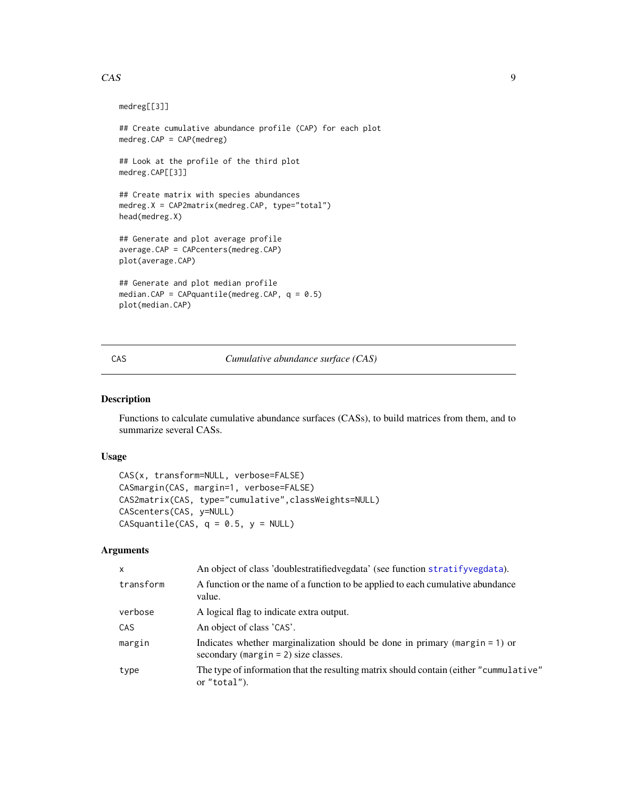## <span id="page-8-0"></span>CAS 9

```
medreg[[3]]
## Create cumulative abundance profile (CAP) for each plot
medreg.CAP = CAP(medreg)
## Look at the profile of the third plot
medreg.CAP[[3]]
## Create matrix with species abundances
medreg.X = CAP2matrix(medreg.CAP, type="total")
head(medreg.X)
## Generate and plot average profile
average.CAP = CAPcenters(medreg.CAP)
plot(average.CAP)
## Generate and plot median profile
median.CAP = CAPquantile(medreg.CAP, q = 0.5)
plot(median.CAP)
```
#### <span id="page-8-1"></span>CAS *Cumulative abundance surface (CAS)*

## <span id="page-8-2"></span>Description

Functions to calculate cumulative abundance surfaces (CASs), to build matrices from them, and to summarize several CASs.

#### Usage

```
CAS(x, transform=NULL, verbose=FALSE)
CASmargin(CAS, margin=1, verbose=FALSE)
CAS2matrix(CAS, type="cumulative",classWeights=NULL)
CAScenters(CAS, y=NULL)
CASquantile(CAS, q = 0.5, y = NULL)
```
## Arguments

| $\mathsf{x}$ | An object of class 'doublestratified vegdata' (see function stratify vegdata).                                            |
|--------------|---------------------------------------------------------------------------------------------------------------------------|
| transform    | A function or the name of a function to be applied to each cumulative abundance<br>value.                                 |
| verbose      | A logical flag to indicate extra output.                                                                                  |
| <b>CAS</b>   | An object of class 'CAS'.                                                                                                 |
| margin       | Indicates whether marginalization should be done in primary (margin $= 1$ ) or<br>secondary (margin $= 2$ ) size classes. |
| type         | The type of information that the resulting matrix should contain (either "cummulative"<br>or "total").                    |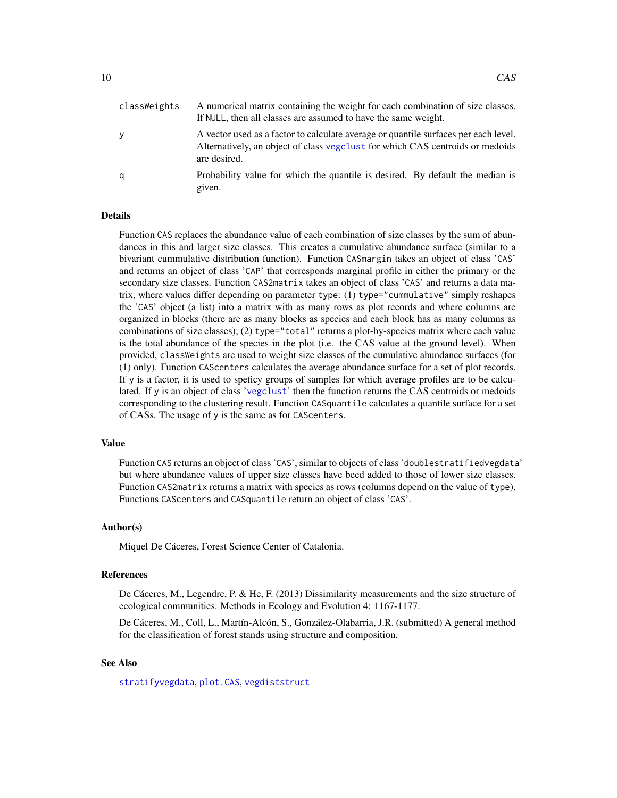<span id="page-9-0"></span>

| classWeights | A numerical matrix containing the weight for each combination of size classes.<br>If NULL, then all classes are assumed to have the same weight.                                     |
|--------------|--------------------------------------------------------------------------------------------------------------------------------------------------------------------------------------|
| y            | A vector used as a factor to calculate average or quantile surfaces per each level.<br>Alternatively, an object of class vegelust for which CAS centroids or medoids<br>are desired. |
| q            | Probability value for which the quantile is desired. By default the median is<br>given.                                                                                              |

#### Details

Function CAS replaces the abundance value of each combination of size classes by the sum of abundances in this and larger size classes. This creates a cumulative abundance surface (similar to a bivariant cummulative distribution function). Function CASmargin takes an object of class 'CAS' and returns an object of class 'CAP' that corresponds marginal profile in either the primary or the secondary size classes. Function CAS2matrix takes an object of class 'CAS' and returns a data matrix, where values differ depending on parameter type: (1) type="cummulative" simply reshapes the 'CAS' object (a list) into a matrix with as many rows as plot records and where columns are organized in blocks (there are as many blocks as species and each block has as many columns as combinations of size classes); (2) type="total" returns a plot-by-species matrix where each value is the total abundance of the species in the plot (i.e. the CAS value at the ground level). When provided, classWeights are used to weight size classes of the cumulative abundance surfaces (for (1) only). Function CAScenters calculates the average abundance surface for a set of plot records. If y is a factor, it is used to speficy groups of samples for which average profiles are to be calculated. If y is an object of class '[vegclust](#page-37-1)' then the function returns the CAS centroids or medoids corresponding to the clustering result. Function CASquantile calculates a quantile surface for a set of CASs. The usage of y is the same as for CAScenters.

#### Value

Function CAS returns an object of class 'CAS', similar to objects of class 'doublestratifiedvegdata' but where abundance values of upper size classes have beed added to those of lower size classes. Function CAS2matrix returns a matrix with species as rows (columns depend on the value of type). Functions CAScenters and CASquantile return an object of class 'CAS'.

#### Author(s)

Miquel De Cáceres, Forest Science Center of Catalonia.

#### References

De Cáceres, M., Legendre, P. & He, F. (2013) Dissimilarity measurements and the size structure of ecological communities. Methods in Ecology and Evolution 4: 1167-1177.

De Cáceres, M., Coll, L., Martín-Alcón, S., González-Olabarria, J.R. (submitted) A general method for the classification of forest stands using structure and composition.

## See Also

[stratifyvegdata](#page-32-1), [plot.CAS](#page-27-1), [vegdiststruct](#page-42-1)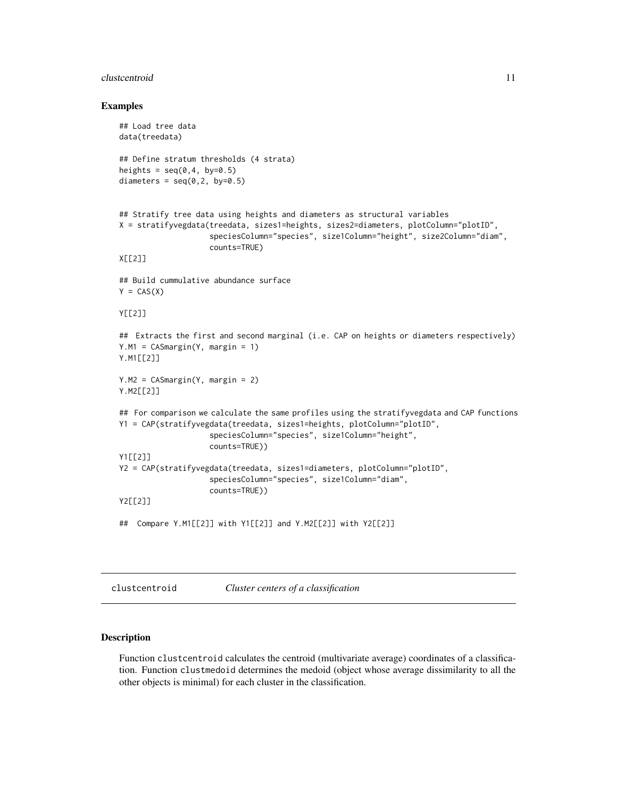#### <span id="page-10-0"></span>clustcentroid 11

#### Examples

```
## Load tree data
data(treedata)
## Define stratum thresholds (4 strata)
heights = seq(0, 4, by=0.5)diameters = seq(0, 2, by=0.5)## Stratify tree data using heights and diameters as structural variables
X = stratifyvegdata(treedata, sizes1=heights, sizes2=diameters, plotColumn="plotID",
                    speciesColumn="species", size1Column="height", size2Column="diam",
                    counts=TRUE)
X[[2]]
## Build cummulative abundance surface
Y = CAS(X)Y[[2]]
## Extracts the first and second marginal (i.e. CAP on heights or diameters respectively)
Y.M1 = CASmargin(Y, margin = 1)
Y.M1[[2]]
Y.M2 = CASmargin(Y, margin = 2)
Y.M2[[2]]
## For comparison we calculate the same profiles using the stratifyvegdata and CAP functions
Y1 = CAP(stratifyvegdata(treedata, sizes1=heights, plotColumn="plotID",
                    speciesColumn="species", size1Column="height",
                    counts=TRUE))
Y1[[2]]
Y2 = CAP(stratifyvegdata(treedata, sizes1=diameters, plotColumn="plotID",
                    speciesColumn="species", size1Column="diam",
                    counts=TRUE))
Y2[[2]]
## Compare Y.M1[[2]] with Y1[[2]] and Y.M2[[2]] with Y2[[2]]
```
clustcentroid *Cluster centers of a classification*

#### Description

Function clustcentroid calculates the centroid (multivariate average) coordinates of a classification. Function clustmedoid determines the medoid (object whose average dissimilarity to all the other objects is minimal) for each cluster in the classification.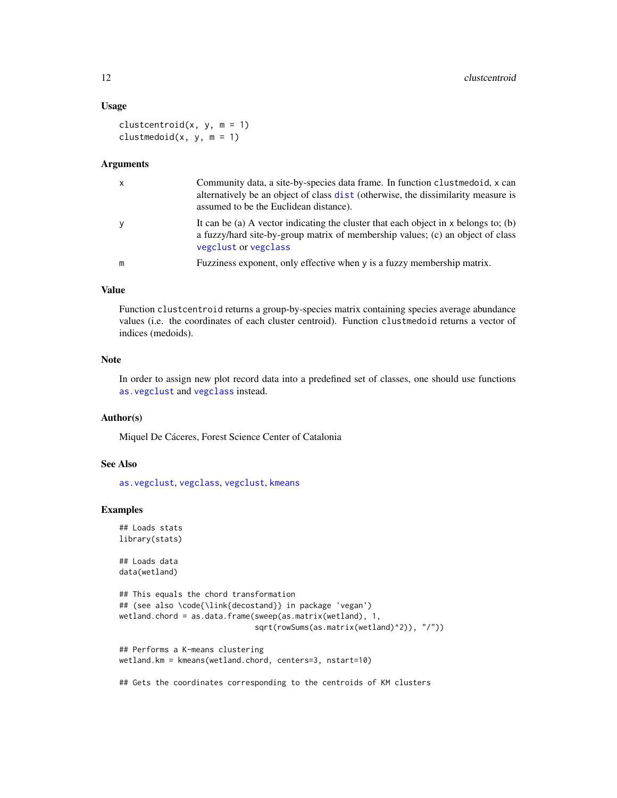## Usage

```
clustcentroid(x, y, m = 1)clustmedoid(x, y, m = 1)
```
#### Arguments

| $\mathsf{x}$ | Community data, a site-by-species data frame. In function clustmedoid, x can<br>alternatively be an object of class dist (otherwise, the dissimilarity measure is<br>assumed to be the Euclidean distance). |
|--------------|-------------------------------------------------------------------------------------------------------------------------------------------------------------------------------------------------------------|
| y            | It can be (a) A vector indicating the cluster that each object in $x$ belongs to; (b)<br>a fuzzy/hard site-by-group matrix of membership values; (c) an object of class<br>vegclust or vegclass             |
| m            | Fuzziness exponent, only effective when y is a fuzzy membership matrix.                                                                                                                                     |

#### Value

Function clustcentroid returns a group-by-species matrix containing species average abundance values (i.e. the coordinates of each cluster centroid). Function clustmedoid returns a vector of indices (medoids).

## Note

In order to assign new plot record data into a predefined set of classes, one should use functions [as.vegclust](#page-4-1) and [vegclass](#page-35-1) instead.

#### Author(s)

Miquel De Cáceres, Forest Science Center of Catalonia

#### See Also

[as.vegclust](#page-4-1), [vegclass](#page-35-1), [vegclust](#page-37-1), [kmeans](#page-0-0)

## Examples

```
## Loads stats
library(stats)
```
## Loads data data(wetland)

```
## This equals the chord transformation
## (see also \code{\link{decostand}} in package 'vegan')
wetland.chord = as.data.frame(sweep(as.matrix(wetland), 1,
                              sqrt(rowSums(as.matrix(wetland)^2)), "/"))
## Performs a K-means clustering
wetland.km = kmeans(wetland.chord, centers=3, nstart=10)
```
## Gets the coordinates corresponding to the centroids of KM clusters

<span id="page-11-0"></span>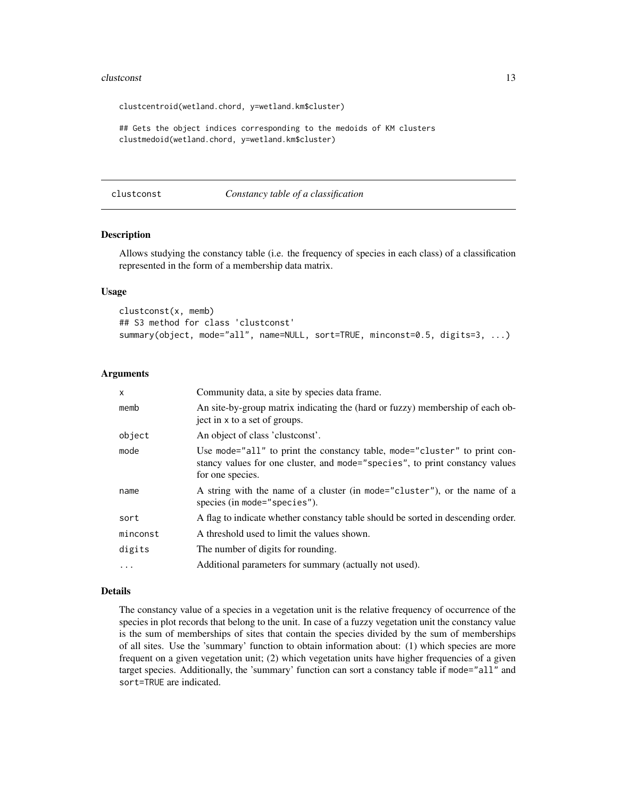#### <span id="page-12-0"></span>clustconst the contract of the contract of the contract of the contract of the contract of the contract of the contract of the contract of the contract of the contract of the contract of the contract of the contract of the

clustcentroid(wetland.chord, y=wetland.km\$cluster)

## Gets the object indices corresponding to the medoids of KM clusters clustmedoid(wetland.chord, y=wetland.km\$cluster)

#### clustconst *Constancy table of a classification*

#### Description

Allows studying the constancy table (i.e. the frequency of species in each class) of a classification represented in the form of a membership data matrix.

#### Usage

```
clustconst(x, memb)
## S3 method for class 'clustconst'
summary(object, mode="all", name=NULL, sort=TRUE, minconst=0.5, digits=3, ...)
```
## Arguments

| $\mathsf{x}$ | Community data, a site by species data frame.                                                                                                                                 |
|--------------|-------------------------------------------------------------------------------------------------------------------------------------------------------------------------------|
| memb         | An site-by-group matrix indicating the (hard or fuzzy) membership of each ob-<br>ject in x to a set of groups.                                                                |
| object       | An object of class 'clustconst'.                                                                                                                                              |
| mode         | Use mode="all" to print the constancy table, mode="cluster" to print con-<br>stancy values for one cluster, and mode="species", to print constancy values<br>for one species. |
| name         | A string with the name of a cluster (in mode="cluster"), or the name of a<br>species (in mode="species").                                                                     |
| sort         | A flag to indicate whether constancy table should be sorted in descending order.                                                                                              |
| minconst     | A threshold used to limit the values shown.                                                                                                                                   |
| digits       | The number of digits for rounding.                                                                                                                                            |
| $\ddotsc$    | Additional parameters for summary (actually not used).                                                                                                                        |

#### Details

The constancy value of a species in a vegetation unit is the relative frequency of occurrence of the species in plot records that belong to the unit. In case of a fuzzy vegetation unit the constancy value is the sum of memberships of sites that contain the species divided by the sum of memberships of all sites. Use the 'summary' function to obtain information about: (1) which species are more frequent on a given vegetation unit; (2) which vegetation units have higher frequencies of a given target species. Additionally, the 'summary' function can sort a constancy table if mode="all" and sort=TRUE are indicated.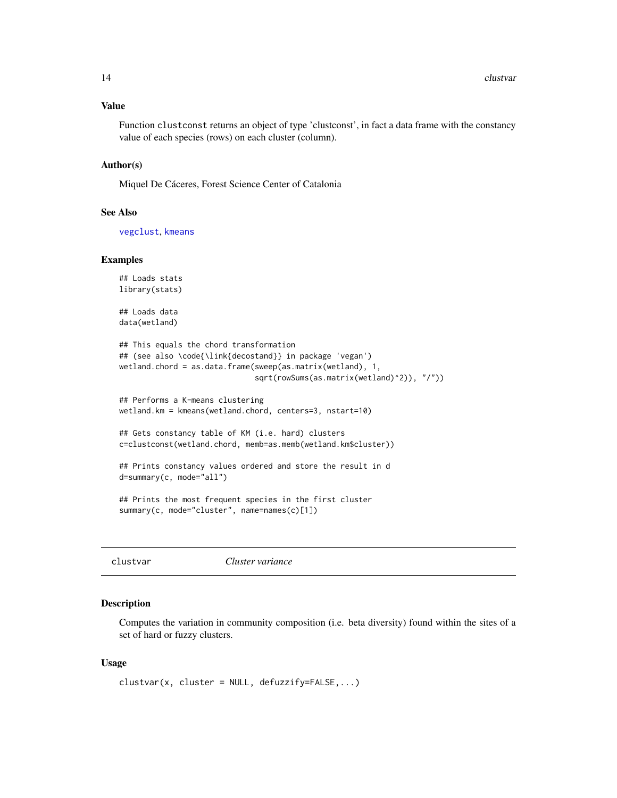#### <span id="page-13-0"></span>Value

Function clustconst returns an object of type 'clustconst', in fact a data frame with the constancy value of each species (rows) on each cluster (column).

## Author(s)

Miquel De Cáceres, Forest Science Center of Catalonia

#### See Also

[vegclust](#page-37-1), [kmeans](#page-0-0)

#### Examples

```
## Loads stats
library(stats)
```
## Loads data data(wetland)

```
## This equals the chord transformation
## (see also \code{\link{decostand}} in package 'vegan')
wetland.chord = as.data.frame(sweep(as.matrix(wetland), 1,
                              sqrt(rowSums(as.matrix(wetland)^2)), "/"))
```

```
## Performs a K-means clustering
wetland.km = kmeans(wetland.chord, centers=3, nstart=10)
```

```
## Gets constancy table of KM (i.e. hard) clusters
c=clustconst(wetland.chord, memb=as.memb(wetland.km$cluster))
```

```
## Prints constancy values ordered and store the result in d
d=summary(c, mode="all")
```

```
## Prints the most frequent species in the first cluster
summary(c, mode="cluster", name=names(c)[1])
```

```
clustvar Cluster variance
```
## Description

Computes the variation in community composition (i.e. beta diversity) found within the sites of a set of hard or fuzzy clusters.

#### Usage

```
cluster = NULL, defuzzify=False, ...
```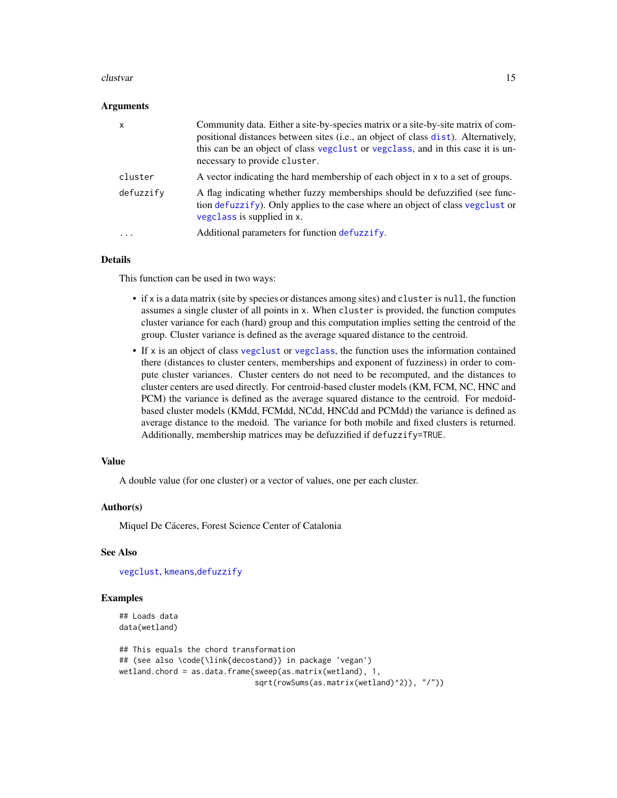#### <span id="page-14-0"></span>clustvar and the contract of the contract of the contract of the contract of the contract of the contract of the contract of the contract of the contract of the contract of the contract of the contract of the contract of t

#### Arguments

| $\times$  | Community data. Either a site-by-species matrix or a site-by-site matrix of com-<br>positional distances between sites (i.e., an object of class dist). Alternatively,<br>this can be an object of class vegelust or vegelass, and in this case it is un-<br>necessary to provide cluster. |
|-----------|--------------------------------------------------------------------------------------------------------------------------------------------------------------------------------------------------------------------------------------------------------------------------------------------|
| cluster   | A vector indicating the hard membership of each object in x to a set of groups.                                                                                                                                                                                                            |
| defuzzify | A flag indicating whether fuzzy memberships should be defuzzified (see func-<br>tion defuzzify). Only applies to the case where an object of class vegclust or<br>vegclass is supplied in x.                                                                                               |
| $\cdots$  | Additional parameters for function defuzzify.                                                                                                                                                                                                                                              |

## Details

This function can be used in two ways:

- if x is a data matrix (site by species or distances among sites) and cluster is null, the function assumes a single cluster of all points in x. When cluster is provided, the function computes cluster variance for each (hard) group and this computation implies setting the centroid of the group. Cluster variance is defined as the average squared distance to the centroid.
- If x is an object of class [vegclust](#page-37-1) or [vegclass](#page-35-1), the function uses the information contained there (distances to cluster centers, memberships and exponent of fuzziness) in order to compute cluster variances. Cluster centers do not need to be recomputed, and the distances to cluster centers are used directly. For centroid-based cluster models (KM, FCM, NC, HNC and PCM) the variance is defined as the average squared distance to the centroid. For medoidbased cluster models (KMdd, FCMdd, NCdd, HNCdd and PCMdd) the variance is defined as average distance to the medoid. The variance for both mobile and fixed clusters is returned. Additionally, membership matrices may be defuzzified if defuzzify=TRUE.

#### Value

A double value (for one cluster) or a vector of values, one per each cluster.

#### Author(s)

Miquel De Cáceres, Forest Science Center of Catalonia

#### See Also

[vegclust](#page-37-1), [kmeans](#page-0-0),[defuzzify](#page-18-1)

## Examples

```
## Loads data
data(wetland)
```

```
## This equals the chord transformation
## (see also \code{\link{decostand}} in package 'vegan')
wetland.chord = as.data.frame(sweep(as.matrix(wetland), 1,
                              sqrt(rowSums(as.matrix(wetland)^2)), "/"))
```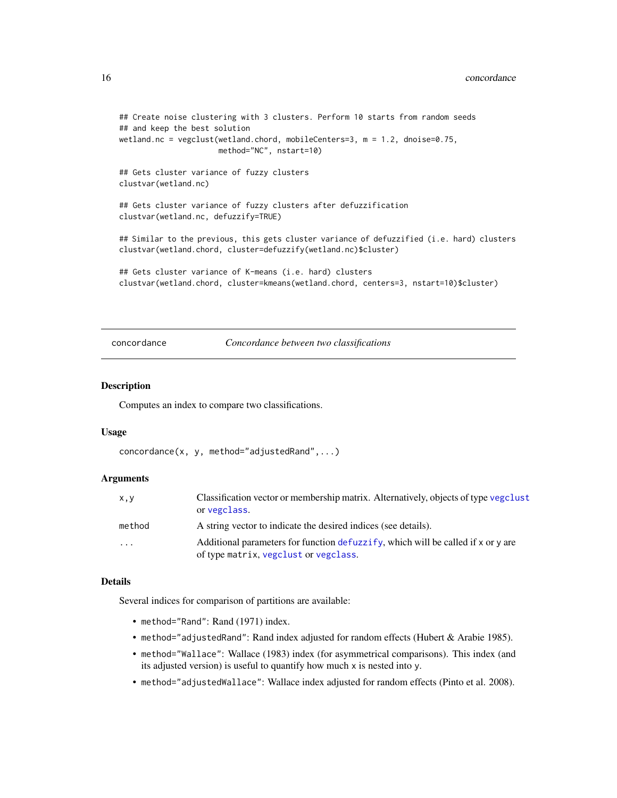#### <span id="page-15-0"></span>16 concordance concordance concordance concordance concordance concordance concordance concordance concordance

```
## Create noise clustering with 3 clusters. Perform 10 starts from random seeds
## and keep the best solution
wetland.nc = vegclust(wetland.chord, mobileCenters=3, m = 1.2, dnoise=0.75,
                     method="NC", nstart=10)
## Gets cluster variance of fuzzy clusters
clustvar(wetland.nc)
## Gets cluster variance of fuzzy clusters after defuzzification
clustvar(wetland.nc, defuzzify=TRUE)
## Similar to the previous, this gets cluster variance of defuzzified (i.e. hard) clusters
clustvar(wetland.chord, cluster=defuzzify(wetland.nc)$cluster)
## Gets cluster variance of K-means (i.e. hard) clusters
clustvar(wetland.chord, cluster=kmeans(wetland.chord, centers=3, nstart=10)$cluster)
```
concordance *Concordance between two classifications*

#### Description

Computes an index to compare two classifications.

#### Usage

concordance(x, y, method="adjustedRand",...)

#### Arguments

| x, y              | Classification vector or membership matrix. Alternatively, objects of type vegclust<br>or vegclass.                       |
|-------------------|---------------------------------------------------------------------------------------------------------------------------|
| method            | A string vector to indicate the desired indices (see details).                                                            |
| $\cdot\cdot\cdot$ | Additional parameters for function defuzzify, which will be called if x or y are<br>of type matrix, vegclust or vegclass. |

#### Details

Several indices for comparison of partitions are available:

- method="Rand": Rand (1971) index.
- method="adjustedRand": Rand index adjusted for random effects (Hubert & Arabie 1985).
- method="Wallace": Wallace (1983) index (for asymmetrical comparisons). This index (and its adjusted version) is useful to quantify how much x is nested into y.
- method="adjustedWallace": Wallace index adjusted for random effects (Pinto et al. 2008).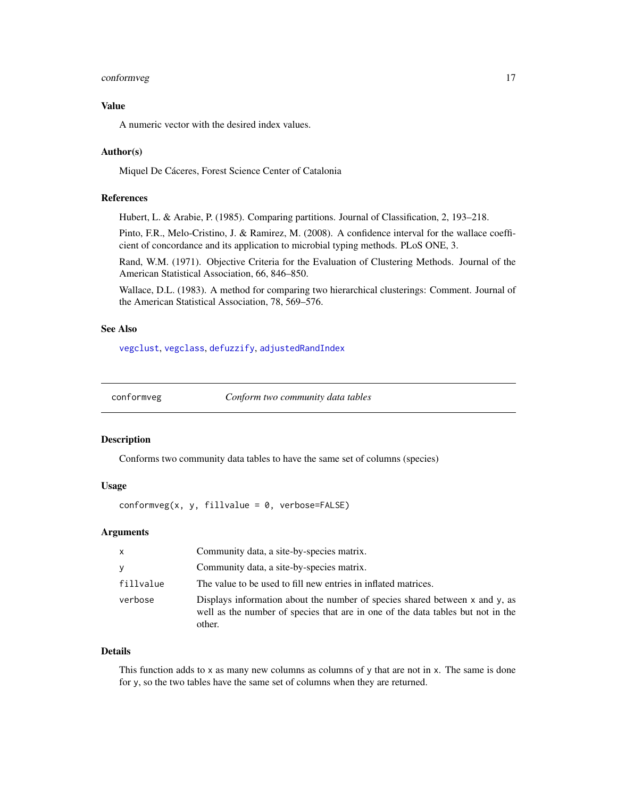## <span id="page-16-0"></span>conformveg that the contract of the contract of the contract of the contract of the contract of the contract of the contract of the contract of the contract of the contract of the contract of the contract of the contract o

## Value

A numeric vector with the desired index values.

## Author(s)

Miquel De Cáceres, Forest Science Center of Catalonia

## References

Hubert, L. & Arabie, P. (1985). Comparing partitions. Journal of Classification, 2, 193–218.

Pinto, F.R., Melo-Cristino, J. & Ramirez, M. (2008). A confidence interval for the wallace coefficient of concordance and its application to microbial typing methods. PLoS ONE, 3.

Rand, W.M. (1971). Objective Criteria for the Evaluation of Clustering Methods. Journal of the American Statistical Association, 66, 846–850.

Wallace, D.L. (1983). A method for comparing two hierarchical clusterings: Comment. Journal of the American Statistical Association, 78, 569–576.

## See Also

[vegclust](#page-37-1), [vegclass](#page-35-1), [defuzzify](#page-18-1), [adjustedRandIndex](#page-0-0)

<span id="page-16-1"></span>

conformveg *Conform two community data tables*

#### Description

Conforms two community data tables to have the same set of columns (species)

## Usage

 $conformveg(x, y, fillvalue = 0, verbose=False)$ 

## Arguments

| $\mathsf{x}$ | Community data, a site-by-species matrix.                                                                                                                                     |
|--------------|-------------------------------------------------------------------------------------------------------------------------------------------------------------------------------|
| <b>V</b>     | Community data, a site-by-species matrix.                                                                                                                                     |
| fillvalue    | The value to be used to fill new entries in inflated matrices.                                                                                                                |
| verbose      | Displays information about the number of species shared between $x$ and $y$ , as<br>well as the number of species that are in one of the data tables but not in the<br>other. |

#### Details

This function adds to x as many new columns as columns of y that are not in x. The same is done for y, so the two tables have the same set of columns when they are returned.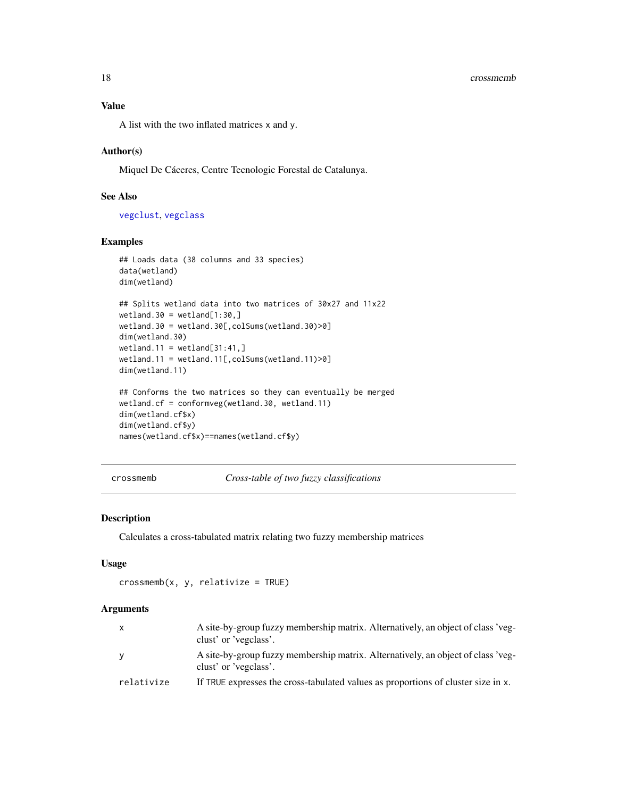#### <span id="page-17-0"></span>18 crossmemb

## Value

A list with the two inflated matrices x and y.

## Author(s)

Miquel De Cáceres, Centre Tecnologic Forestal de Catalunya.

## See Also

[vegclust](#page-37-1), [vegclass](#page-35-1)

#### Examples

```
## Loads data (38 columns and 33 species)
data(wetland)
dim(wetland)
## Splits wetland data into two matrices of 30x27 and 11x22
wetland.30 = wetland[1:30, ]wetland.30 = wetland.30[,colSums(wetland.30)>0]
dim(wetland.30)
wetland.11 = wetland[31:41, ]wetland.11 = wetland.11[,colSums(wetland.11)>0]
dim(wetland.11)
## Conforms the two matrices so they can eventually be merged
wetland.cf = conformveg(wetland.30, wetland.11)
dim(wetland.cf$x)
dim(wetland.cf$y)
names(wetland.cf$x)==names(wetland.cf$y)
```

```
crossmemb Cross-table of two fuzzy classifications
```
## Description

Calculates a cross-tabulated matrix relating two fuzzy membership matrices

#### Usage

 $crossmemb(x, y, relative = TRUE)$ 

### Arguments

| $\mathsf{x}$ | A site-by-group fuzzy membership matrix. Alternatively, an object of class 'veg-<br>clust' or 'vegclass'. |
|--------------|-----------------------------------------------------------------------------------------------------------|
| <b>V</b>     | A site-by-group fuzzy membership matrix. Alternatively, an object of class 'veg-<br>clust' or 'vegclass'. |
| relativize   | If TRUE expresses the cross-tabulated values as proportions of cluster size in x.                         |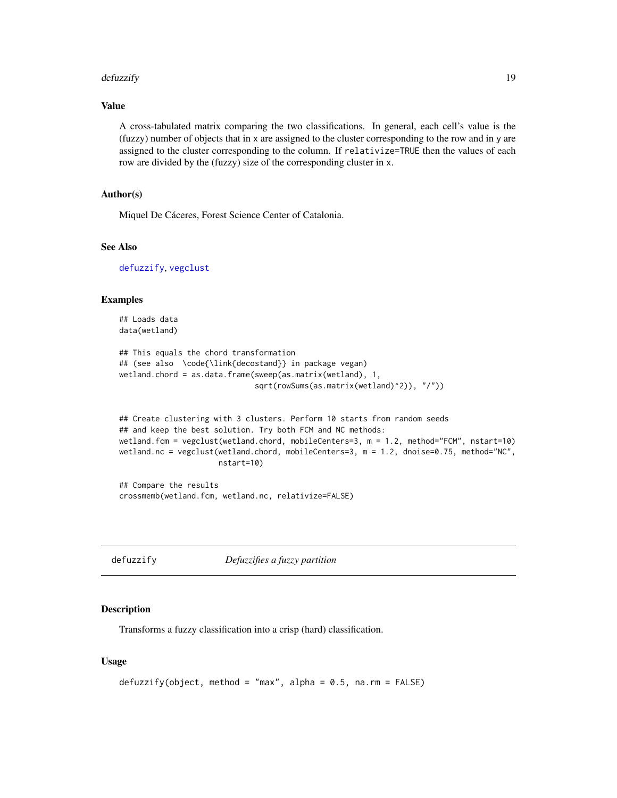#### <span id="page-18-0"></span>defuzzify the contract of the contract of the contract of the contract of the contract of the contract of the contract of the contract of the contract of the contract of the contract of the contract of the contract of the

## Value

A cross-tabulated matrix comparing the two classifications. In general, each cell's value is the (fuzzy) number of objects that in x are assigned to the cluster corresponding to the row and in y are assigned to the cluster corresponding to the column. If relativize=TRUE then the values of each row are divided by the (fuzzy) size of the corresponding cluster in x.

## Author(s)

Miquel De Cáceres, Forest Science Center of Catalonia.

#### See Also

[defuzzify](#page-18-1), [vegclust](#page-37-1)

#### Examples

```
## Loads data
data(wetland)
```

```
## This equals the chord transformation
## (see also \code{\link{decostand}} in package vegan)
wetland.chord = as.data.frame(sweep(as.matrix(wetland), 1,
                              sqrt(rowSums(as.matrix(wetland)^2)), "/"))
```

```
## Create clustering with 3 clusters. Perform 10 starts from random seeds
## and keep the best solution. Try both FCM and NC methods:
wetland.fcm = vegclust(wetland.chord, mobileCenters=3, m = 1.2, method="FCM", nstart=10)
wetland.nc = vegclust(wetland.chord, mobileCenters=3, m = 1.2, dnoise=0.75, method="NC",
                      nstart=10)
```

```
## Compare the results
crossmemb(wetland.fcm, wetland.nc, relativize=FALSE)
```
<span id="page-18-1"></span>

```
defuzzify Defuzzifies a fuzzy partition
```
#### Description

Transforms a fuzzy classification into a crisp (hard) classification.

#### Usage

```
defuzzify(object, method = "max", alpha = 0.5, na.rm = FALSE)
```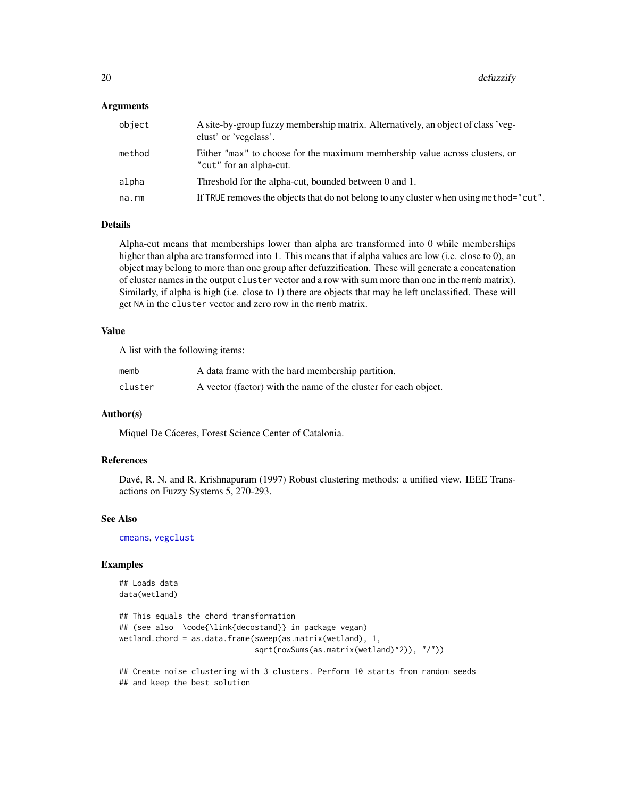## <span id="page-19-0"></span>Arguments

| object | A site-by-group fuzzy membership matrix. Alternatively, an object of class 'veg-<br>clust' or 'vegclass'. |
|--------|-----------------------------------------------------------------------------------------------------------|
| method | Either "max" to choose for the maximum membership value across clusters, or<br>"cut" for an alpha-cut.    |
| alpha  | Threshold for the alpha-cut, bounded between 0 and 1.                                                     |
| na.rm  | If TRUE removes the objects that do not belong to any cluster when using method="cut".                    |

#### Details

Alpha-cut means that memberships lower than alpha are transformed into 0 while memberships higher than alpha are transformed into 1. This means that if alpha values are low (i.e. close to 0), an object may belong to more than one group after defuzzification. These will generate a concatenation of cluster names in the output cluster vector and a row with sum more than one in the memb matrix). Similarly, if alpha is high (i.e. close to 1) there are objects that may be left unclassified. These will get NA in the cluster vector and zero row in the memb matrix.

## Value

A list with the following items:

| memb    | A data frame with the hard membership partition.                |
|---------|-----------------------------------------------------------------|
| cluster | A vector (factor) with the name of the cluster for each object. |

## Author(s)

Miquel De Cáceres, Forest Science Center of Catalonia.

## References

Davé, R. N. and R. Krishnapuram (1997) Robust clustering methods: a unified view. IEEE Transactions on Fuzzy Systems 5, 270-293.

#### See Also

[cmeans](#page-0-0), [vegclust](#page-37-1)

## Examples

```
## Loads data
data(wetland)
## This equals the chord transformation
## (see also \code{\link{decostand}} in package vegan)
wetland.chord = as.data.frame(sweep(as.matrix(wetland), 1,
                             sqrt(rowSums(as.matrix(wetland)^2)), "/"))
```
## Create noise clustering with 3 clusters. Perform 10 starts from random seeds ## and keep the best solution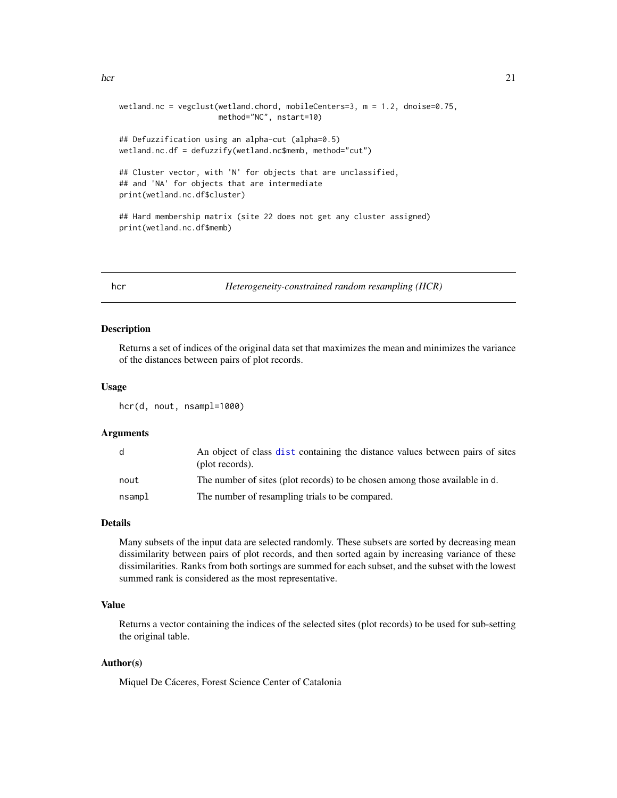```
hcr 21
```

```
wetland.nc = vegclust(wetland.chord, mobileCenters=3, m = 1.2, dnoise=0.75,
                      method="NC", nstart=10)
## Defuzzification using an alpha-cut (alpha=0.5)
wetland.nc.df = defuzzify(wetland.nc$memb, method="cut")
## Cluster vector, with 'N' for objects that are unclassified,
## and 'NA' for objects that are intermediate
print(wetland.nc.df$cluster)
## Hard membership matrix (site 22 does not get any cluster assigned)
print(wetland.nc.df$memb)
```
hcr *Heterogeneity-constrained random resampling (HCR)*

#### Description

Returns a set of indices of the original data set that maximizes the mean and minimizes the variance of the distances between pairs of plot records.

#### Usage

hcr(d, nout, nsampl=1000)

#### Arguments

| d      | An object of class dist containing the distance values between pairs of sites<br>(plot records). |
|--------|--------------------------------------------------------------------------------------------------|
| nout   | The number of sites (plot records) to be chosen among those available in d.                      |
| nsampl | The number of resampling trials to be compared.                                                  |

#### Details

Many subsets of the input data are selected randomly. These subsets are sorted by decreasing mean dissimilarity between pairs of plot records, and then sorted again by increasing variance of these dissimilarities. Ranks from both sortings are summed for each subset, and the subset with the lowest summed rank is considered as the most representative.

## Value

Returns a vector containing the indices of the selected sites (plot records) to be used for sub-setting the original table.

## Author(s)

Miquel De Cáceres, Forest Science Center of Catalonia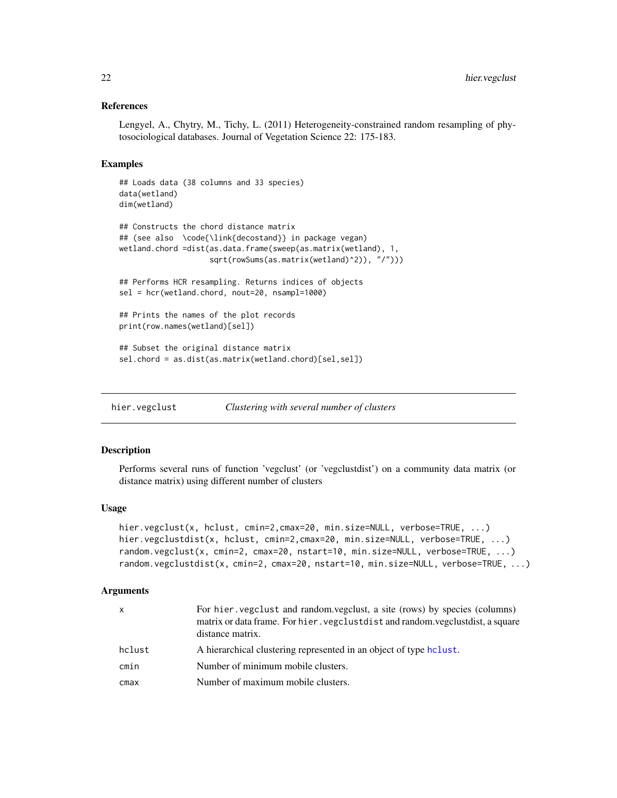## <span id="page-21-0"></span>References

Lengyel, A., Chytry, M., Tichy, L. (2011) Heterogeneity-constrained random resampling of phytosociological databases. Journal of Vegetation Science 22: 175-183.

#### Examples

```
## Loads data (38 columns and 33 species)
data(wetland)
dim(wetland)
## Constructs the chord distance matrix
## (see also \code{\link{decostand}} in package vegan)
wetland.chord =dist(as.data.frame(sweep(as.matrix(wetland), 1,
                    sqrt(rowSums(as.matrix(wetland)^2)), "/")))
## Performs HCR resampling. Returns indices of objects
sel = hcr(wetland.chord, nout=20, nsampl=1000)
## Prints the names of the plot records
print(row.names(wetland)[sel])
## Subset the original distance matrix
sel.chord = as.dist(as.matrix(wetland.chord)[sel,sel])
```
<span id="page-21-1"></span>hier.vegclust *Clustering with several number of clusters*

#### <span id="page-21-2"></span>Description

Performs several runs of function 'vegclust' (or 'vegclustdist') on a community data matrix (or distance matrix) using different number of clusters

#### Usage

```
hier.vegclust(x, hclust, cmin=2,cmax=20, min.size=NULL, verbose=TRUE, ...)
hier.vegclustdist(x, hclust, cmin=2,cmax=20, min.size=NULL, verbose=TRUE, ...)
random.vegclust(x, cmin=2, cmax=20, nstart=10, min.size=NULL, verbose=TRUE, ...)
random.vegclustdist(x, cmin=2, cmax=20, nstart=10, min.size=NULL, verbose=TRUE, ...)
```
#### Arguments

| x      | For hier vegclust and random vegclust, a site (rows) by species (columns)<br>matrix or data frame. For hier . vegclustdist and random vegclustdist, a square<br>distance matrix. |
|--------|----------------------------------------------------------------------------------------------------------------------------------------------------------------------------------|
| hclust | A hierarchical clustering represented in an object of type heliest.                                                                                                              |
| cmin   | Number of minimum mobile clusters.                                                                                                                                               |
| cmax   | Number of maximum mobile clusters.                                                                                                                                               |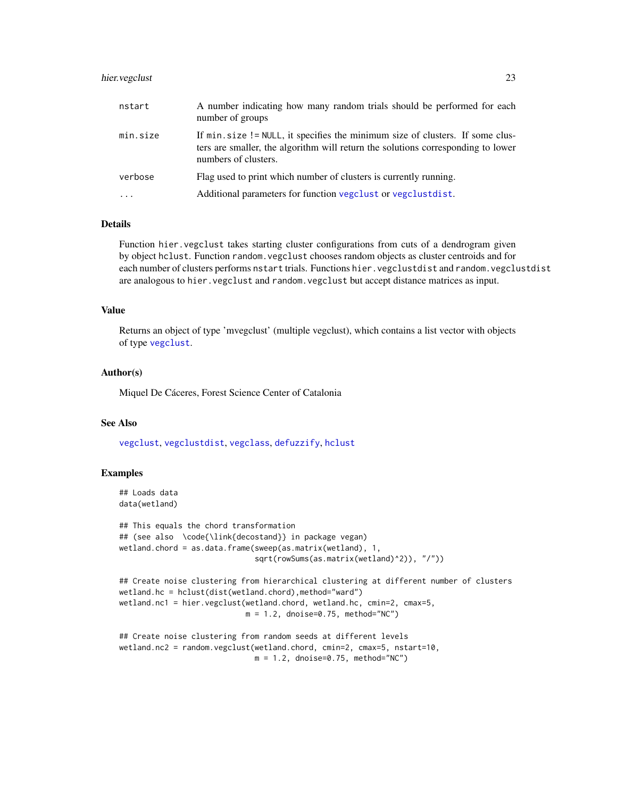## <span id="page-22-0"></span>hier.vegclust 23

| nstart   | A number indicating how many random trials should be performed for each<br>number of groups                                                                                                |
|----------|--------------------------------------------------------------------------------------------------------------------------------------------------------------------------------------------|
| min.size | If min. size != NULL, it specifies the minimum size of clusters. If some clus-<br>ters are smaller, the algorithm will return the solutions corresponding to lower<br>numbers of clusters. |
| verbose  | Flag used to print which number of clusters is currently running.                                                                                                                          |

... Additional parameters for function [vegclust](#page-37-1) or [vegclustdist](#page-37-2).

#### **Details**

Function hier.vegclust takes starting cluster configurations from cuts of a dendrogram given by object hclust. Function random.vegclust chooses random objects as cluster centroids and for each number of clusters performs nstart trials. Functions hier.vegclustdist and random.vegclustdist are analogous to hier.vegclust and random.vegclust but accept distance matrices as input.

## Value

Returns an object of type 'mvegclust' (multiple vegclust), which contains a list vector with objects of type [vegclust](#page-37-1).

#### Author(s)

Miquel De Cáceres, Forest Science Center of Catalonia

#### See Also

[vegclust](#page-37-1), [vegclustdist](#page-37-2), [vegclass](#page-35-1), [defuzzify](#page-18-1), [hclust](#page-0-0)

#### Examples

```
## Loads data
data(wetland)
```

```
## This equals the chord transformation
## (see also \code{\link{decostand}} in package vegan)
wetland.chord = as.data.frame(sweep(as.matrix(wetland), 1,
                              sqrt(rowSums(as.matrix(wetland)^2)), "/"))
```

```
## Create noise clustering from hierarchical clustering at different number of clusters
wetland.hc = hclust(dist(wetland.chord),method="ward")
wetland.nc1 = hier.vegclust(wetland.chord, wetland.hc, cmin=2, cmax=5,
                            m = 1.2, dnoise=0.75, method="NC")
```

```
## Create noise clustering from random seeds at different levels
wetland.nc2 = random.vegclust(wetland.chord, cmin=2, cmax=5, nstart=10,
                              m = 1.2, dnoise=0.75, method="NC")
```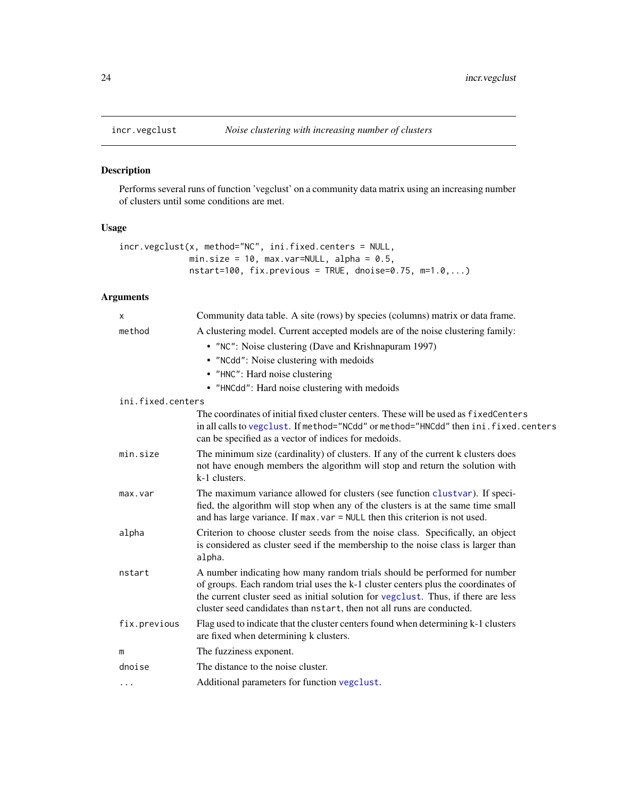<span id="page-23-1"></span><span id="page-23-0"></span>

## Description

Performs several runs of function 'vegclust' on a community data matrix using an increasing number of clusters until some conditions are met.

## Usage

```
incr.vegclust(x, method="NC", ini.fixed.centers = NULL,
              min.size = 10, max.var=NULL, alpha = 0.5,
              nstart=100, fix.previous = TRUE, dnoise=0.75, m=1.0,...)
```
## Arguments

| X                 | Community data table. A site (rows) by species (columns) matrix or data frame.                                                                                                                                                                                                                                                |
|-------------------|-------------------------------------------------------------------------------------------------------------------------------------------------------------------------------------------------------------------------------------------------------------------------------------------------------------------------------|
| method            | A clustering model. Current accepted models are of the noise clustering family:                                                                                                                                                                                                                                               |
|                   | • "NC": Noise clustering (Dave and Krishnapuram 1997)                                                                                                                                                                                                                                                                         |
|                   | • "NCdd": Noise clustering with medoids                                                                                                                                                                                                                                                                                       |
|                   | • "HNC": Hard noise clustering                                                                                                                                                                                                                                                                                                |
|                   | • "HNCdd": Hard noise clustering with medoids                                                                                                                                                                                                                                                                                 |
| ini.fixed.centers |                                                                                                                                                                                                                                                                                                                               |
|                   | The coordinates of initial fixed cluster centers. These will be used as fixed Centers<br>in all calls to vegclust. If method="NCdd" or method="HNCdd" then ini.fixed.centers<br>can be specified as a vector of indices for medoids.                                                                                          |
| min.size          | The minimum size (cardinality) of clusters. If any of the current k clusters does<br>not have enough members the algorithm will stop and return the solution with<br>k-1 clusters.                                                                                                                                            |
| max.var           | The maximum variance allowed for clusters (see function clustvar). If speci-<br>fied, the algorithm will stop when any of the clusters is at the same time small<br>and has large variance. If $max. var = NULL$ then this criterion is not used.                                                                             |
| alpha             | Criterion to choose cluster seeds from the noise class. Specifically, an object<br>is considered as cluster seed if the membership to the noise class is larger than<br>alpha.                                                                                                                                                |
| nstart            | A number indicating how many random trials should be performed for number<br>of groups. Each random trial uses the k-1 cluster centers plus the coordinates of<br>the current cluster seed as initial solution for vegclust. Thus, if there are less<br>cluster seed candidates than nstart, then not all runs are conducted. |
| fix.previous      | Flag used to indicate that the cluster centers found when determining k-1 clusters<br>are fixed when determining k clusters.                                                                                                                                                                                                  |
| m                 | The fuzziness exponent.                                                                                                                                                                                                                                                                                                       |
| dnoise            | The distance to the noise cluster.                                                                                                                                                                                                                                                                                            |
| .                 | Additional parameters for function vegclust.                                                                                                                                                                                                                                                                                  |
|                   |                                                                                                                                                                                                                                                                                                                               |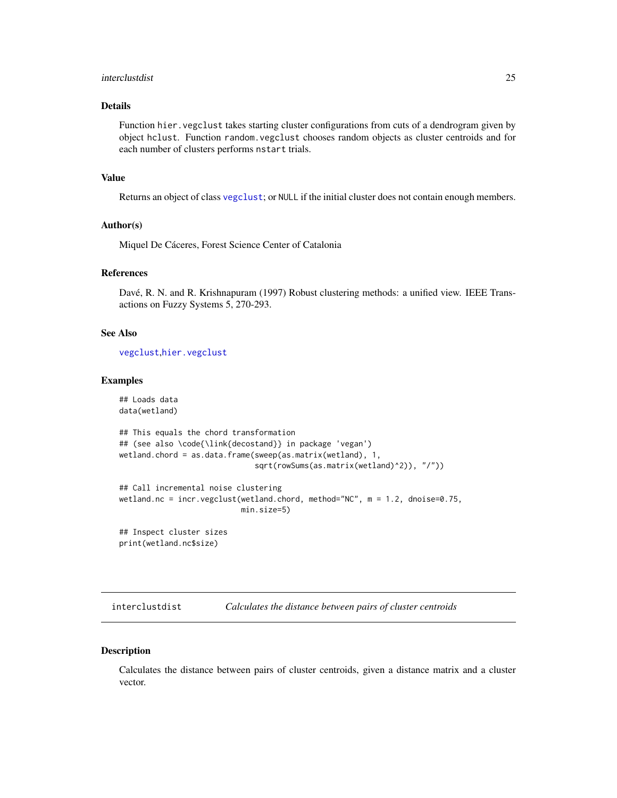#### <span id="page-24-0"></span>interclustdist 25

## Details

Function hier.vegclust takes starting cluster configurations from cuts of a dendrogram given by object hclust. Function random.vegclust chooses random objects as cluster centroids and for each number of clusters performs nstart trials.

## Value

Returns an object of class [vegclust](#page-37-1); or NULL if the initial cluster does not contain enough members.

#### Author(s)

Miquel De Cáceres, Forest Science Center of Catalonia

#### References

Davé, R. N. and R. Krishnapuram (1997) Robust clustering methods: a unified view. IEEE Transactions on Fuzzy Systems 5, 270-293.

## See Also

[vegclust](#page-37-1),[hier.vegclust](#page-21-1)

#### Examples

```
## Loads data
data(wetland)
## This equals the chord transformation
## (see also \code{\link{decostand}} in package 'vegan')
wetland.chord = as.data.frame(sweep(as.matrix(wetland), 1,
                              sqrt(rowSums(as.matrix(wetland)^2)), "/"))
## Call incremental noise clustering
wetland.nc = incr.vegclust(wetland.chord, method="NC", m = 1.2, dnoise=0.75,
                           min.size=5)
## Inspect cluster sizes
print(wetland.nc$size)
```
interclustdist *Calculates the distance between pairs of cluster centroids*

#### Description

Calculates the distance between pairs of cluster centroids, given a distance matrix and a cluster vector.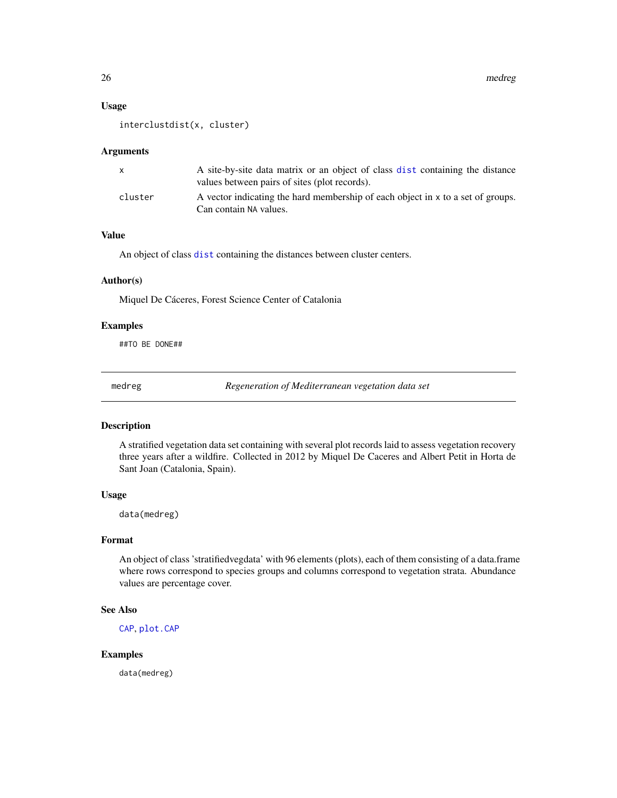#### <span id="page-25-0"></span>Usage

```
interclustdist(x, cluster)
```
#### Arguments

| $\mathsf{x}$ | A site-by-site data matrix or an object of class dist containing the distance<br>values between pairs of sites (plot records). |
|--------------|--------------------------------------------------------------------------------------------------------------------------------|
| cluster      | A vector indicating the hard membership of each object in x to a set of groups.<br>Can contain NA values.                      |

## Value

An object of class [dist](#page-0-0) containing the distances between cluster centers.

#### Author(s)

Miquel De Cáceres, Forest Science Center of Catalonia

## Examples

##TO BE DONE##

medreg *Regeneration of Mediterranean vegetation data set*

## Description

A stratified vegetation data set containing with several plot records laid to assess vegetation recovery three years after a wildfire. Collected in 2012 by Miquel De Caceres and Albert Petit in Horta de Sant Joan (Catalonia, Spain).

#### Usage

data(medreg)

#### Format

An object of class 'stratifiedvegdata' with 96 elements (plots), each of them consisting of a data.frame where rows correspond to species groups and columns correspond to vegetation strata. Abundance values are percentage cover.

## See Also

[CAP](#page-6-1), [plot.CAP](#page-26-1)

## Examples

data(medreg)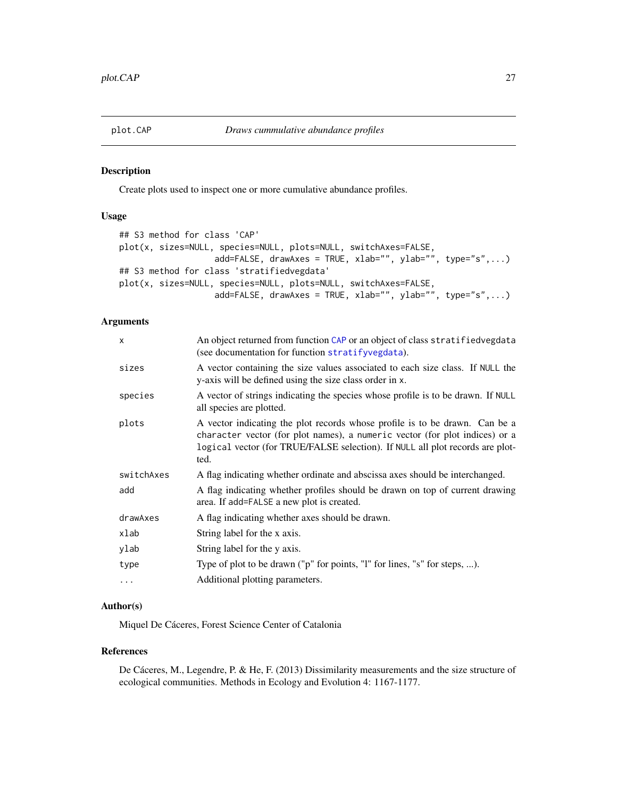<span id="page-26-1"></span><span id="page-26-0"></span>

#### Description

Create plots used to inspect one or more cumulative abundance profiles.

## Usage

```
## S3 method for class 'CAP'
plot(x, sizes=NULL, species=NULL, plots=NULL, switchAxes=FALSE,
                   add=FALSE, drawAxes = TRUE, xlab="", ylab="", type="s",...)
## S3 method for class 'stratifiedvegdata'
plot(x, sizes=NULL, species=NULL, plots=NULL, switchAxes=FALSE,
                   add=FALSE, drawAxes = TRUE, xlab="", ylab="", type="s",...)
```
## Arguments

| An object returned from function CAP or an object of class stratified vegdata<br>(see documentation for function stratifyvegdata).                                                                                                                  |
|-----------------------------------------------------------------------------------------------------------------------------------------------------------------------------------------------------------------------------------------------------|
| A vector containing the size values associated to each size class. If NULL the<br>y-axis will be defined using the size class order in x.                                                                                                           |
| A vector of strings indicating the species whose profile is to be drawn. If NULL<br>all species are plotted.                                                                                                                                        |
| A vector indicating the plot records whose profile is to be drawn. Can be a<br>character vector (for plot names), a numeric vector (for plot indices) or a<br>logical vector (for TRUE/FALSE selection). If NULL all plot records are plot-<br>ted. |
| A flag indicating whether ordinate and abscissa axes should be interchanged.                                                                                                                                                                        |
| A flag indicating whether profiles should be drawn on top of current drawing<br>area. If add=FALSE a new plot is created.                                                                                                                           |
| A flag indicating whether axes should be drawn.                                                                                                                                                                                                     |
| String label for the x axis.                                                                                                                                                                                                                        |
| String label for the y axis.                                                                                                                                                                                                                        |
| Type of plot to be drawn ("p" for points, "l" for lines, "s" for steps, ).                                                                                                                                                                          |
| Additional plotting parameters.                                                                                                                                                                                                                     |
|                                                                                                                                                                                                                                                     |

#### Author(s)

Miquel De Cáceres, Forest Science Center of Catalonia

#### References

De Cáceres, M., Legendre, P. & He, F. (2013) Dissimilarity measurements and the size structure of ecological communities. Methods in Ecology and Evolution 4: 1167-1177.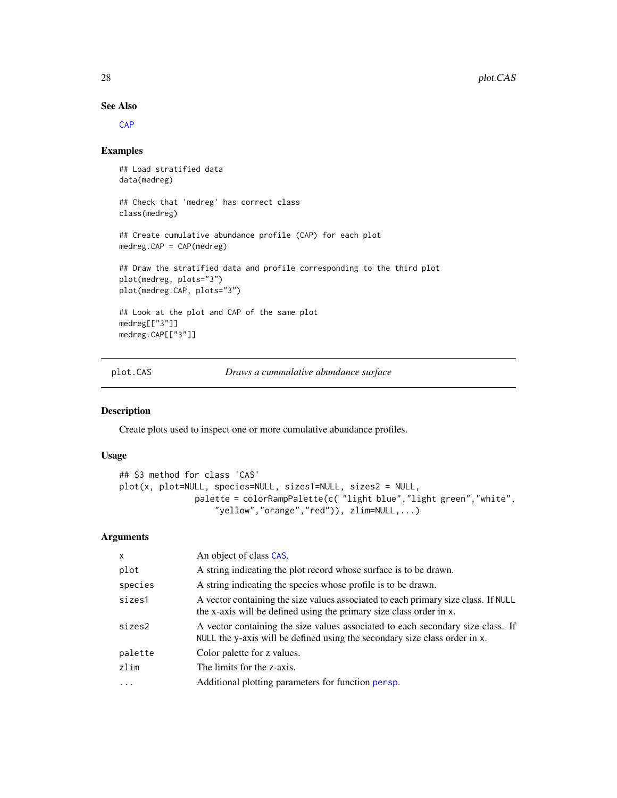## See Also

[CAP](#page-6-1)

## Examples

```
## Load stratified data
data(medreg)
## Check that 'medreg' has correct class
class(medreg)
## Create cumulative abundance profile (CAP) for each plot
medreg.CAP = CAP(medreg)
## Draw the stratified data and profile corresponding to the third plot
plot(medreg, plots="3")
plot(medreg.CAP, plots="3")
## Look at the plot and CAP of the same plot
medreg[["3"]]
medreg.CAP[["3"]]
```
<span id="page-27-1"></span>plot.CAS *Draws a cummulative abundance surface*

## Description

Create plots used to inspect one or more cumulative abundance profiles.

## Usage

```
## S3 method for class 'CAS'
plot(x, plot=NULL, species=NULL, sizes1=NULL, sizes2 = NULL,
               palette = colorRampPalette(c( "light blue","light green","white",
                   "yellow","orange","red")), zlim=NULL,...)
```
## Arguments

| $\mathsf{x}$ | An object of class CAS.                                                                                                                                       |
|--------------|---------------------------------------------------------------------------------------------------------------------------------------------------------------|
| plot         | A string indicating the plot record whose surface is to be drawn.                                                                                             |
| species      | A string indicating the species whose profile is to be drawn.                                                                                                 |
| sizes1       | A vector containing the size values associated to each primary size class. If NULL<br>the x-axis will be defined using the primary size class order in x.     |
| sizes2       | A vector containing the size values associated to each secondary size class. If<br>NULL the y-axis will be defined using the secondary size class order in x. |
| palette      | Color palette for z values.                                                                                                                                   |
| zlim         | The limits for the z-axis.                                                                                                                                    |
| .            | Additional plotting parameters for function persp.                                                                                                            |
|              |                                                                                                                                                               |

<span id="page-27-0"></span>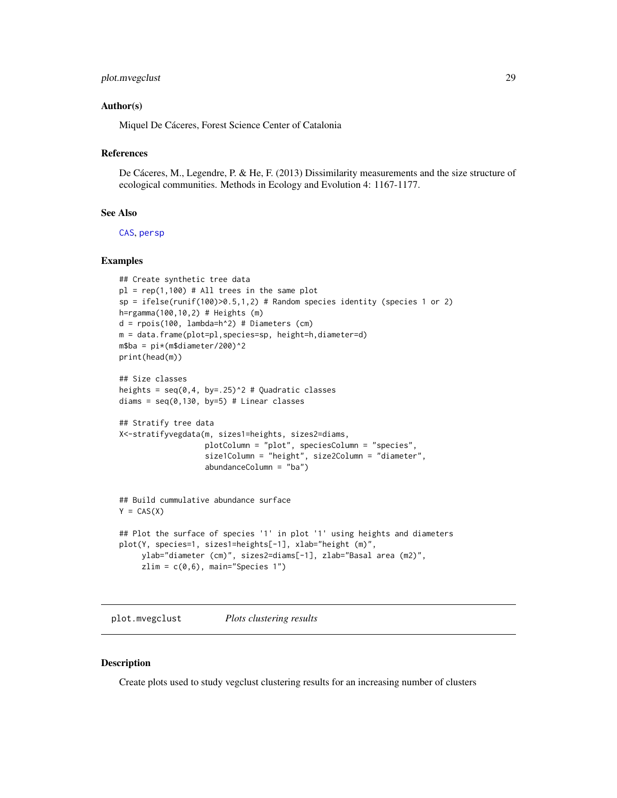## <span id="page-28-0"></span>plot.mvegclust 29

#### Author(s)

Miquel De Cáceres, Forest Science Center of Catalonia

#### References

De Cáceres, M., Legendre, P. & He, F. (2013) Dissimilarity measurements and the size structure of ecological communities. Methods in Ecology and Evolution 4: 1167-1177.

#### See Also

[CAS](#page-8-1), [persp](#page-0-0)

#### Examples

```
## Create synthetic tree data
pl = rep(1,100) # All trees in the same plotsp = ifelse(runif(100)>0.5,1,2) # Random species identity (species 1 or 2)h=rgamma(100,10,2) # Heights (m)
d = rpois(100, lambda=h^2) # Diameters (cm)
m = data.frame(plot=pl,species=sp, height=h,diameter=d)
m$ba = pi*(m$diameter/200)^2print(head(m))
## Size classes
heights = seq(0, 4, by=.25)^2 # Quadratic classes
diams = seq(0, 130, by=5) # Linear classes
## Stratify tree data
X<-stratifyvegdata(m, sizes1=heights, sizes2=diams,
                   plotColumn = "plot", speciesColumn = "species",
                   size1Column = "height", size2Column = "diameter",
                   abundanceColumn = "ba")
## Build cummulative abundance surface
Y = CAS(X)## Plot the surface of species '1' in plot '1' using heights and diameters
plot(Y, species=1, sizes1=heights[-1], xlab="height (m)",
    ylab="diameter (cm)", sizes2=diams[-1], zlab="Basal area (m2)",
     zlim = c(0,6), main="Species 1")
```
plot.mvegclust *Plots clustering results*

#### Description

Create plots used to study vegclust clustering results for an increasing number of clusters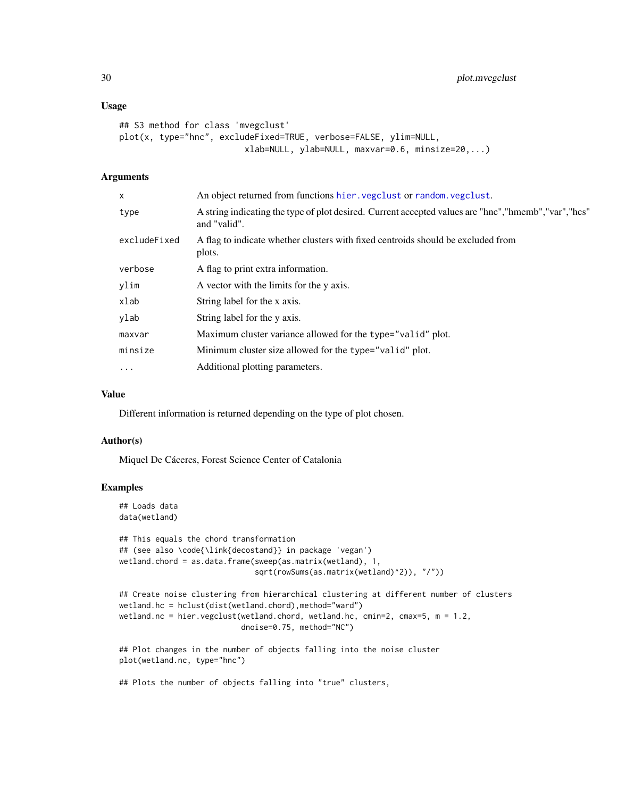#### <span id="page-29-0"></span>Usage

```
## S3 method for class 'mvegclust'
plot(x, type="hnc", excludeFixed=TRUE, verbose=FALSE, ylim=NULL,
                         xlab=NULL, ylab=NULL, maxvar=0.6, minsize=20,...)
```
## Arguments

| x            | An object returned from functions hier. vegclust or random. vegclust.                                                  |
|--------------|------------------------------------------------------------------------------------------------------------------------|
| type         | A string indicating the type of plot desired. Current accepted values are "hnc", "hmemb", "var", "hcs"<br>and "valid". |
| excludeFixed | A flag to indicate whether clusters with fixed centroids should be excluded from<br>plots.                             |
| verbose      | A flag to print extra information.                                                                                     |
| ylim         | A vector with the limits for the y axis.                                                                               |
| xlab         | String label for the x axis.                                                                                           |
| ylab         | String label for the y axis.                                                                                           |
| maxvar       | Maximum cluster variance allowed for the type="valid" plot.                                                            |
| minsize      | Minimum cluster size allowed for the type="valid" plot.                                                                |
| $\cdots$     | Additional plotting parameters.                                                                                        |

## Value

Different information is returned depending on the type of plot chosen.

#### Author(s)

Miquel De Cáceres, Forest Science Center of Catalonia

## Examples

```
## Loads data
data(wetland)
```

```
## This equals the chord transformation
## (see also \code{\link{decostand}} in package 'vegan')
wetland.chord = as.data.frame(sweep(as.matrix(wetland), 1,
                              sqrt(rowSums(as.matrix(wetland)^2)), "/"))
```

```
## Create noise clustering from hierarchical clustering at different number of clusters
wetland.hc = hclust(dist(wetland.chord),method="ward")
wetland.nc = hier.vegclust(wetland.chord, wetland.hc, cmin=2, cmax=5, m = 1.2,
                          dnoise=0.75, method="NC")
```
## Plot changes in the number of objects falling into the noise cluster plot(wetland.nc, type="hnc")

## Plots the number of objects falling into "true" clusters,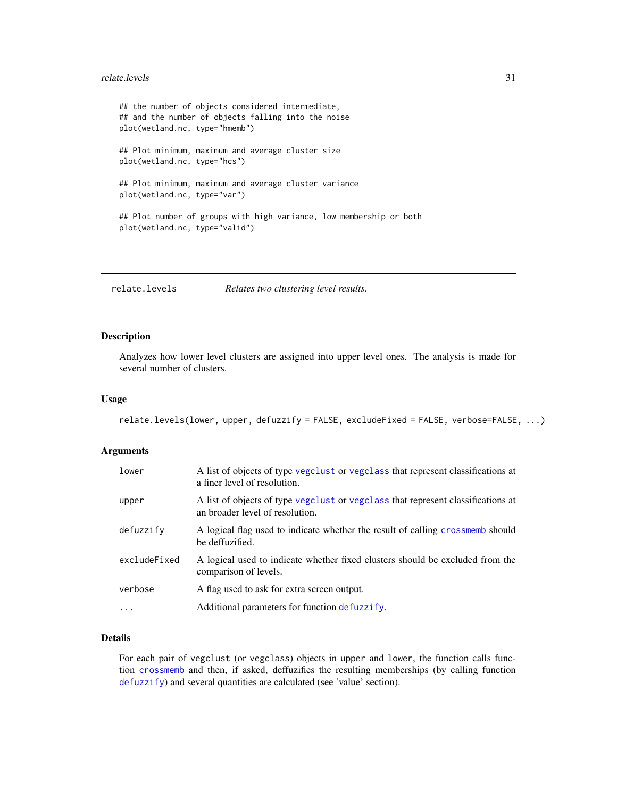#### <span id="page-30-0"></span>relate.levels 31

```
## the number of objects considered intermediate,
## and the number of objects falling into the noise
plot(wetland.nc, type="hmemb")
## Plot minimum, maximum and average cluster size
plot(wetland.nc, type="hcs")
## Plot minimum, maximum and average cluster variance
plot(wetland.nc, type="var")
## Plot number of groups with high variance, low membership or both
plot(wetland.nc, type="valid")
```
relate.levels *Relates two clustering level results.*

#### Description

Analyzes how lower level clusters are assigned into upper level ones. The analysis is made for several number of clusters.

#### Usage

```
relate.levels(lower, upper, defuzzify = FALSE, excludeFixed = FALSE, verbose=FALSE, ...)
```
#### Arguments

| lower        | A list of objects of type vegclust or vegclass that represent classifications at<br>a finer level of resolution.    |
|--------------|---------------------------------------------------------------------------------------------------------------------|
| upper        | A list of objects of type vegalust or vegalass that represent classifications at<br>an broader level of resolution. |
| defuzzify    | A logical flag used to indicate whether the result of calling crossmemb should<br>be deffuzified.                   |
| excludeFixed | A logical used to indicate whether fixed clusters should be excluded from the<br>comparison of levels.              |
| verbose      | A flag used to ask for extra screen output.                                                                         |
| $\cdots$     | Additional parameters for function defuzzify.                                                                       |

## Details

For each pair of vegclust (or vegclass) objects in upper and lower, the function calls function [crossmemb](#page-17-1) and then, if asked, deffuzifies the resulting memberships (by calling function [defuzzify](#page-18-1)) and several quantities are calculated (see 'value' section).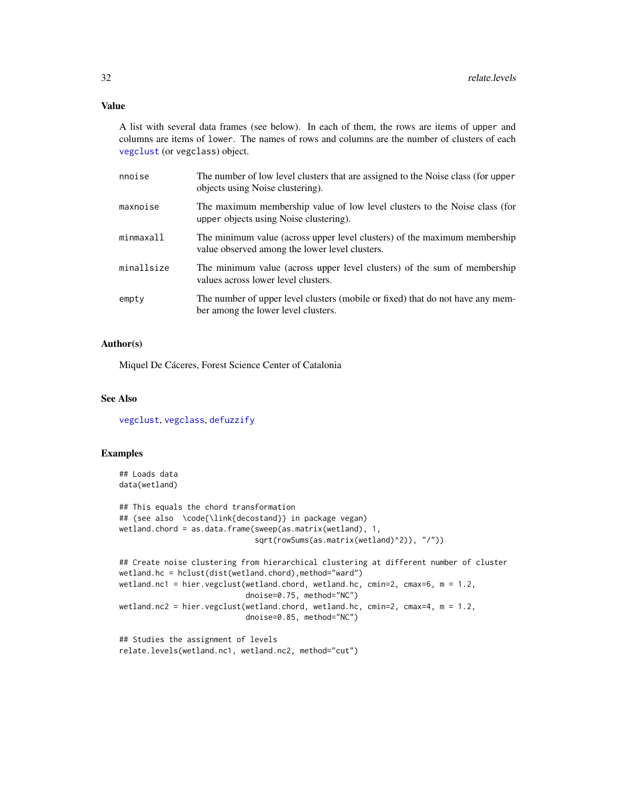#### <span id="page-31-0"></span>Value

A list with several data frames (see below). In each of them, the rows are items of upper and columns are items of lower. The names of rows and columns are the number of clusters of each [vegclust](#page-37-1) (or vegclass) object.

| nnoise     | The number of low level clusters that are assigned to the Noise class (for upper<br>objects using Noise clustering).        |
|------------|-----------------------------------------------------------------------------------------------------------------------------|
| maxnoise   | The maximum membership value of low level clusters to the Noise class (for<br>upper objects using Noise clustering).        |
| minmaxall  | The minimum value (across upper level clusters) of the maximum membership<br>value observed among the lower level clusters. |
| minallsize | The minimum value (across upper level clusters) of the sum of membership<br>values across lower level clusters.             |
| empty      | The number of upper level clusters (mobile or fixed) that do not have any mem-<br>ber among the lower level clusters.       |

## Author(s)

Miquel De Cáceres, Forest Science Center of Catalonia

## See Also

[vegclust](#page-37-1), [vegclass](#page-35-1), [defuzzify](#page-18-1)

## Examples

```
## Loads data
data(wetland)
```

```
## This equals the chord transformation
## (see also \code{\link{decostand}} in package vegan)
wetland.chord = as.data.frame(sweep(as.matrix(wetland), 1,
                              sqrt(rowSums(as.matrix(wetland)^2)), "/"))
## Create noise clustering from hierarchical clustering at different number of cluster
wetland.hc = hclust(dist(wetland.chord),method="ward")
```

```
wetland.nc1 = hier.vegclust(wetland.chord, wetland.hc, cmin=2, cmax=6, m = 1.2,
                            dnoise=0.75, method="NC")
wetland.nc2 = hier.vegclust(wetland.chord, wetland.hc, cmin=2, cmax=4, m = 1.2,
                            dnoise=0.85, method="NC")
```

```
## Studies the assignment of levels
relate.levels(wetland.nc1, wetland.nc2, method="cut")
```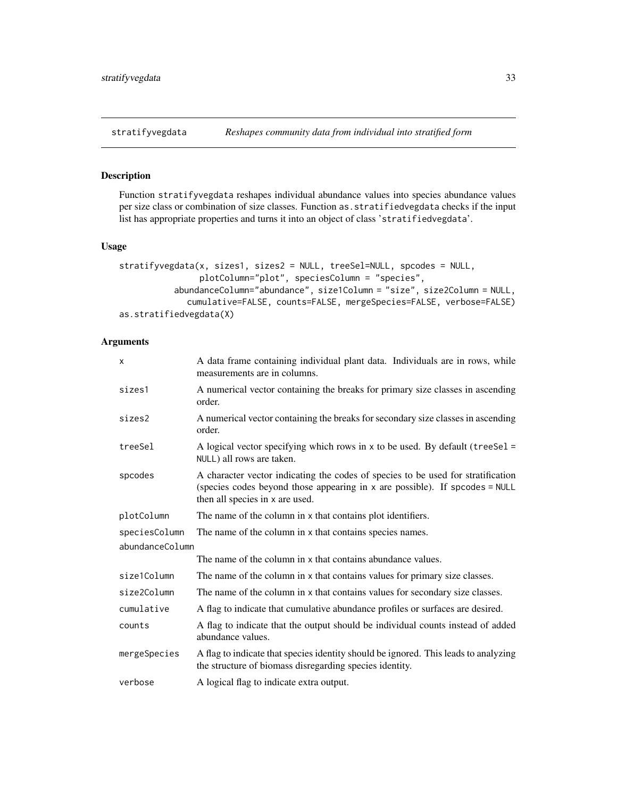<span id="page-32-1"></span><span id="page-32-0"></span>

#### Description

Function stratifyvegdata reshapes individual abundance values into species abundance values per size class or combination of size classes. Function as.stratifiedvegdata checks if the input list has appropriate properties and turns it into an object of class 'stratifiedvegdata'.

#### Usage

```
stratifyvegdata(x, sizes1, sizes2 = NULL, treeSel=NULL, spcodes = NULL,
                plotColumn="plot", speciesColumn = "species",
           abundanceColumn="abundance", size1Column = "size", size2Column = NULL,
             cumulative=FALSE, counts=FALSE, mergeSpecies=FALSE, verbose=FALSE)
as.stratifiedvegdata(X)
```
## Arguments

| X               | A data frame containing individual plant data. Individuals are in rows, while<br>measurements are in columns.                                                                                        |  |
|-----------------|------------------------------------------------------------------------------------------------------------------------------------------------------------------------------------------------------|--|
| sizes1          | A numerical vector containing the breaks for primary size classes in ascending<br>order.                                                                                                             |  |
| sizes2          | A numerical vector containing the breaks for secondary size classes in ascending<br>order.                                                                                                           |  |
| treeSel         | A logical vector specifying which rows in $x$ to be used. By default (tree Sel =<br>NULL) all rows are taken.                                                                                        |  |
| spcodes         | A character vector indicating the codes of species to be used for stratification<br>(species codes beyond those appearing in $x$ are possible). If spcodes = NULL<br>then all species in x are used. |  |
| plotColumn      | The name of the column in x that contains plot identifiers.                                                                                                                                          |  |
| speciesColumn   | The name of the column in x that contains species names.                                                                                                                                             |  |
| abundanceColumn |                                                                                                                                                                                                      |  |
|                 | The name of the column in x that contains abundance values.                                                                                                                                          |  |
| size1Column     | The name of the column in x that contains values for primary size classes.                                                                                                                           |  |
| size2Column     | The name of the column in x that contains values for secondary size classes.                                                                                                                         |  |
| cumulative      | A flag to indicate that cumulative abundance profiles or surfaces are desired.                                                                                                                       |  |
| counts          | A flag to indicate that the output should be individual counts instead of added<br>abundance values.                                                                                                 |  |
| mergeSpecies    | A flag to indicate that species identity should be ignored. This leads to analyzing<br>the structure of biomass disregarding species identity.                                                       |  |
| verbose         | A logical flag to indicate extra output.                                                                                                                                                             |  |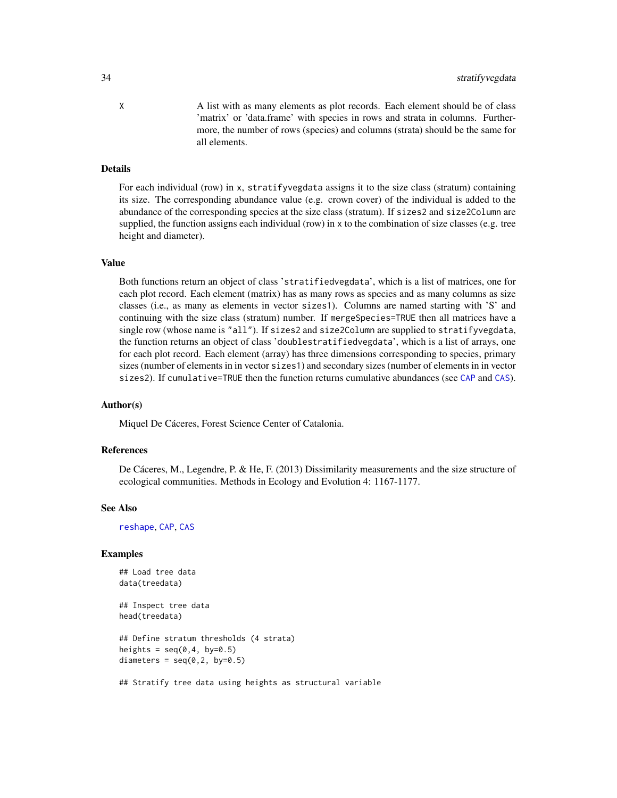X A list with as many elements as plot records. Each element should be of class 'matrix' or 'data.frame' with species in rows and strata in columns. Furthermore, the number of rows (species) and columns (strata) should be the same for all elements.

#### Details

For each individual (row) in x, stratifyvegdata assigns it to the size class (stratum) containing its size. The corresponding abundance value (e.g. crown cover) of the individual is added to the abundance of the corresponding species at the size class (stratum). If sizes2 and size2Column are supplied, the function assigns each individual (row) in x to the combination of size classes (e.g. tree height and diameter).

#### Value

Both functions return an object of class 'stratifiedvegdata', which is a list of matrices, one for each plot record. Each element (matrix) has as many rows as species and as many columns as size classes (i.e., as many as elements in vector sizes1). Columns are named starting with 'S' and continuing with the size class (stratum) number. If mergeSpecies=TRUE then all matrices have a single row (whose name is "all"). If sizes2 and size2Column are supplied to stratifyvegdata, the function returns an object of class 'doublestratifiedvegdata', which is a list of arrays, one for each plot record. Each element (array) has three dimensions corresponding to species, primary sizes (number of elements in in vector sizes1) and secondary sizes (number of elements in in vector sizes2). If cumulative=TRUE then the function returns cumulative abundances (see [CAP](#page-6-1) and [CAS](#page-8-1)).

#### Author(s)

Miquel De Cáceres, Forest Science Center of Catalonia.

#### **References**

De Cáceres, M., Legendre, P. & He, F. (2013) Dissimilarity measurements and the size structure of ecological communities. Methods in Ecology and Evolution 4: 1167-1177.

#### See Also

[reshape](#page-0-0), [CAP](#page-6-1), [CAS](#page-8-1)

#### Examples

```
## Load tree data
data(treedata)
```
## Inspect tree data head(treedata)

```
## Define stratum thresholds (4 strata)
heights = seq(0, 4, by=0.5)diameters = seq(0, 2, by=0.5)
```
## Stratify tree data using heights as structural variable

<span id="page-33-0"></span>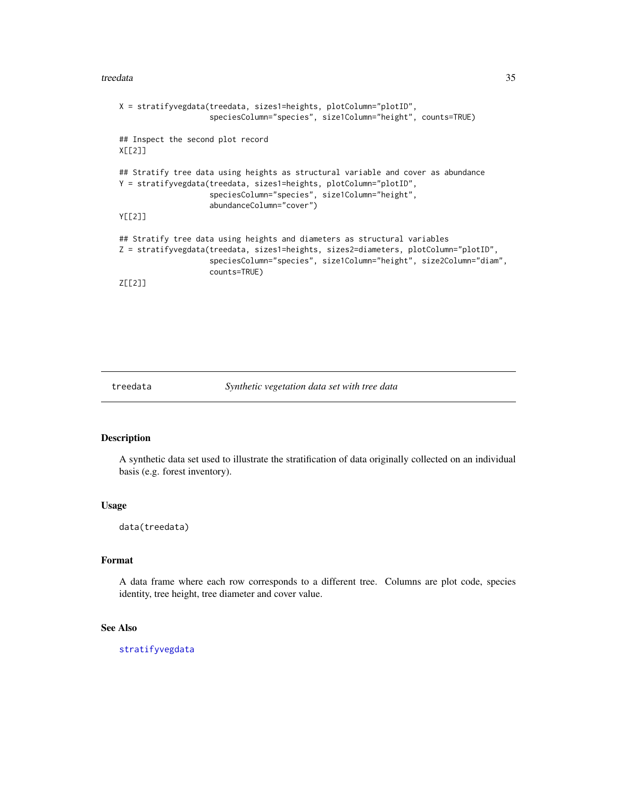#### <span id="page-34-0"></span>treedata 35

```
X = stratifyvegdata(treedata, sizes1=heights, plotColumn="plotID",
                    speciesColumn="species", size1Column="height", counts=TRUE)
## Inspect the second plot record
X[[2]]
## Stratify tree data using heights as structural variable and cover as abundance
Y = stratifyvegdata(treedata, sizes1=heights, plotColumn="plotID",
                    speciesColumn="species", size1Column="height",
                    abundanceColumn="cover")
Y[[2]]
## Stratify tree data using heights and diameters as structural variables
Z = stratifyvegdata(treedata, sizes1=heights, sizes2=diameters, plotColumn="plotID",
                    speciesColumn="species", size1Column="height", size2Column="diam",
                    counts=TRUE)
Z[[2]]
```
treedata *Synthetic vegetation data set with tree data*

## Description

A synthetic data set used to illustrate the stratification of data originally collected on an individual basis (e.g. forest inventory).

#### Usage

data(treedata)

## Format

A data frame where each row corresponds to a different tree. Columns are plot code, species identity, tree height, tree diameter and cover value.

#### See Also

[stratifyvegdata](#page-32-1)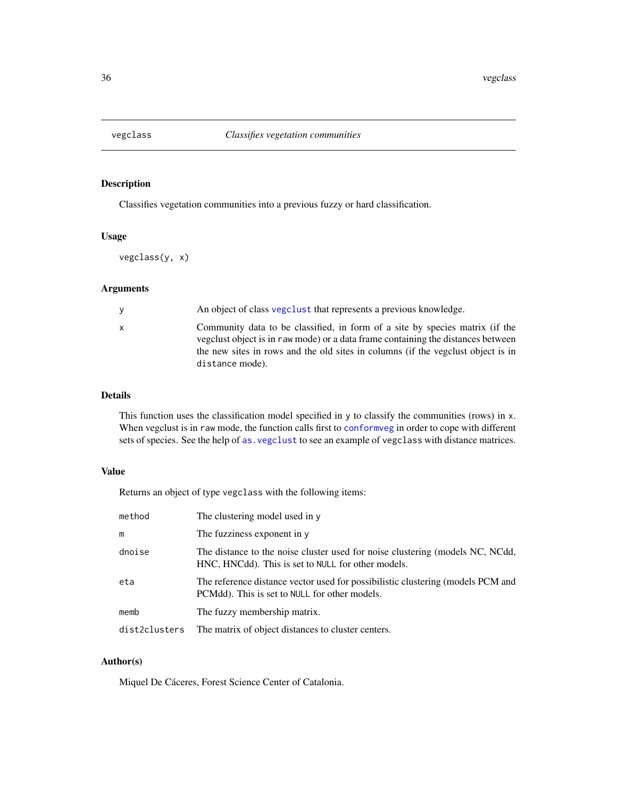<span id="page-35-1"></span><span id="page-35-0"></span>

## Description

Classifies vegetation communities into a previous fuzzy or hard classification.

#### Usage

vegclass(y, x)

## Arguments

| y                               | An object of class vegetust that represents a previous knowledge.                                                                                                                                                                                   |
|---------------------------------|-----------------------------------------------------------------------------------------------------------------------------------------------------------------------------------------------------------------------------------------------------|
| $\mathsf{x}$<br>distance mode). | Community data to be classified, in form of a site by species matrix (if the<br>vegetus object is in raw mode) or a data frame containing the distances between<br>the new sites in rows and the old sites in columns (if the vegclust object is in |

## Details

This function uses the classification model specified in y to classify the communities (rows) in x. When vegclust is in raw mode, the function calls first to [conformveg](#page-16-1) in order to cope with different sets of species. See the help of [as.vegclust](#page-4-1) to see an example of vegclass with distance matrices.

## Value

Returns an object of type vegclass with the following items:

| method        | The clustering model used in y                                                                                                      |
|---------------|-------------------------------------------------------------------------------------------------------------------------------------|
| m             | The fuzziness exponent in y                                                                                                         |
| dnoise        | The distance to the noise cluster used for noise clustering (models NC, NCdd,<br>HNC, HNCdd). This is set to NULL for other models. |
| eta           | The reference distance vector used for possibilistic clustering (models PCM and<br>PCMdd). This is set to NULL for other models.    |
| memb          | The fuzzy membership matrix.                                                                                                        |
| dist2clusters | The matrix of object distances to cluster centers.                                                                                  |

## Author(s)

Miquel De Cáceres, Forest Science Center of Catalonia.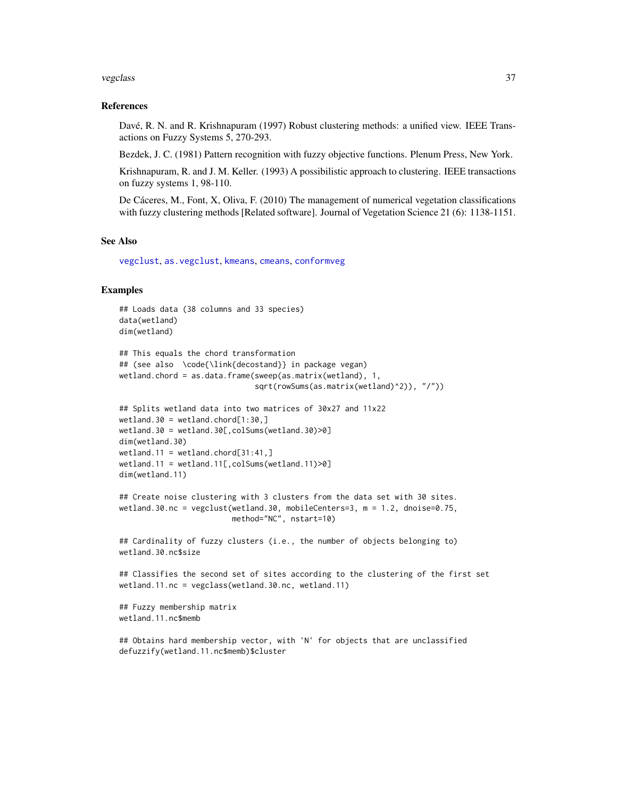#### <span id="page-36-0"></span>vegclass 37

#### References

Davé, R. N. and R. Krishnapuram (1997) Robust clustering methods: a unified view. IEEE Transactions on Fuzzy Systems 5, 270-293.

Bezdek, J. C. (1981) Pattern recognition with fuzzy objective functions. Plenum Press, New York.

Krishnapuram, R. and J. M. Keller. (1993) A possibilistic approach to clustering. IEEE transactions on fuzzy systems 1, 98-110.

De Cáceres, M., Font, X, Oliva, F. (2010) The management of numerical vegetation classifications with fuzzy clustering methods [Related software]. Journal of Vegetation Science 21 (6): 1138-1151.

#### See Also

[vegclust](#page-37-1), [as.vegclust](#page-4-1), [kmeans](#page-0-0), [cmeans](#page-0-0), [conformveg](#page-16-1)

### Examples

```
## Loads data (38 columns and 33 species)
data(wetland)
dim(wetland)
```

```
## This equals the chord transformation
## (see also \code{\link{decostand}} in package vegan)
wetland.chord = as.data.frame(sweep(as.matrix(wetland), 1,
                              sqrt(rowSums(as.matrix(wetland)^2)), "/"))
```

```
## Splits wetland data into two matrices of 30x27 and 11x22
wetland.30 = wetland.chord[1:30, ]wetland.30 = wetland.30[,colSums(wetland.30)>0]
dim(wetland.30)
wetland.11 = wetland.chord[31:41, ]wetland.11 = wetland.11[,colSums(wetland.11)>0]
dim(wetland.11)
```

```
## Create noise clustering with 3 clusters from the data set with 30 sites.
wetland.30.nc = vegclust(wetland.30, mobileCenters=3, m = 1.2, dnoise=0.75,
                        method="NC", nstart=10)
```

```
## Cardinality of fuzzy clusters (i.e., the number of objects belonging to)
wetland.30.nc$size
```

```
## Classifies the second set of sites according to the clustering of the first set
wetland.11.nc = vegclass(wetland.30.nc, wetland.11)
```

```
## Fuzzy membership matrix
wetland.11.nc$memb
```

```
## Obtains hard membership vector, with 'N' for objects that are unclassified
defuzzify(wetland.11.nc$memb)$cluster
```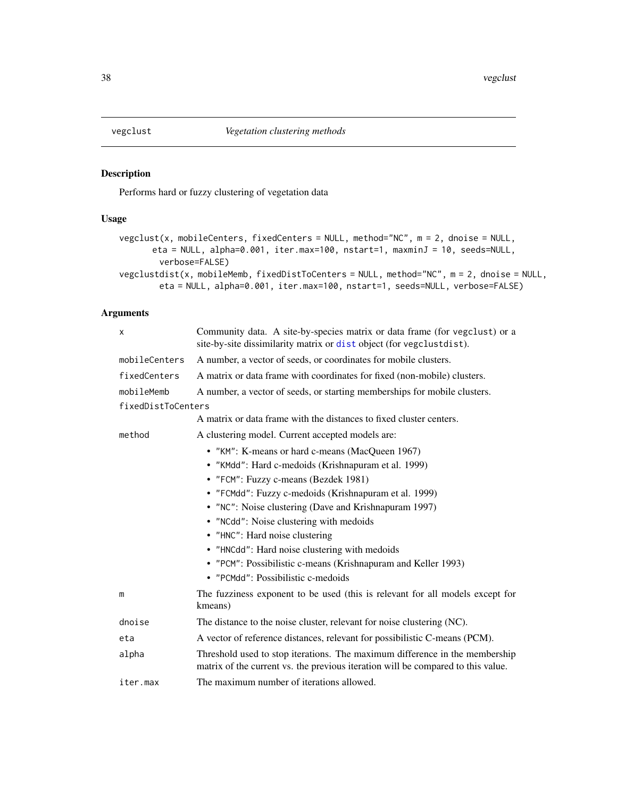<span id="page-37-1"></span><span id="page-37-0"></span>

## <span id="page-37-2"></span>Description

Performs hard or fuzzy clustering of vegetation data

## Usage

```
vegclust(x, mobileCenters, fixedCenters = NULL, method="NC", m = 2, dnoise = NULL,
      eta = NULL, alpha=0.001, iter.max=100, nstart=1, maxminJ = 10, seeds=NULL,
        verbose=FALSE)
vegclustdist(x, mobileMemb, fixedDistToCenters = NULL, method="NC", m = 2, dnoise = NULL,
        eta = NULL, alpha=0.001, iter.max=100, nstart=1, seeds=NULL, verbose=FALSE)
```
## Arguments

| Χ                  | Community data. A site-by-species matrix or data frame (for vegclust) or a<br>site-by-site dissimilarity matrix or dist object (for vegclustdist).              |
|--------------------|-----------------------------------------------------------------------------------------------------------------------------------------------------------------|
| mobileCenters      | A number, a vector of seeds, or coordinates for mobile clusters.                                                                                                |
| fixedCenters       | A matrix or data frame with coordinates for fixed (non-mobile) clusters.                                                                                        |
| mobileMemb         | A number, a vector of seeds, or starting memberships for mobile clusters.                                                                                       |
| fixedDistToCenters |                                                                                                                                                                 |
|                    | A matrix or data frame with the distances to fixed cluster centers.                                                                                             |
| method             | A clustering model. Current accepted models are:                                                                                                                |
|                    | • "KM": K-means or hard c-means (MacQueen 1967)                                                                                                                 |
|                    | • "KMdd": Hard c-medoids (Krishnapuram et al. 1999)                                                                                                             |
|                    | • "FCM": Fuzzy c-means (Bezdek 1981)                                                                                                                            |
|                    | • "FCMdd": Fuzzy c-medoids (Krishnapuram et al. 1999)                                                                                                           |
|                    | • "NC": Noise clustering (Dave and Krishnapuram 1997)                                                                                                           |
|                    | • "NCdd": Noise clustering with medoids                                                                                                                         |
|                    | • "HNC": Hard noise clustering                                                                                                                                  |
|                    | • "HNCdd": Hard noise clustering with medoids                                                                                                                   |
|                    | • "PCM": Possibilistic c-means (Krishnapuram and Keller 1993)                                                                                                   |
|                    | • "PCMdd": Possibilistic c-medoids                                                                                                                              |
| m                  | The fuzziness exponent to be used (this is relevant for all models except for<br>kmeans)                                                                        |
| dnoise             | The distance to the noise cluster, relevant for noise clustering (NC).                                                                                          |
| eta                | A vector of reference distances, relevant for possibilistic C-means (PCM).                                                                                      |
| alpha              | Threshold used to stop iterations. The maximum difference in the membership<br>matrix of the current vs. the previous iteration will be compared to this value. |
| iter.max           | The maximum number of iterations allowed.                                                                                                                       |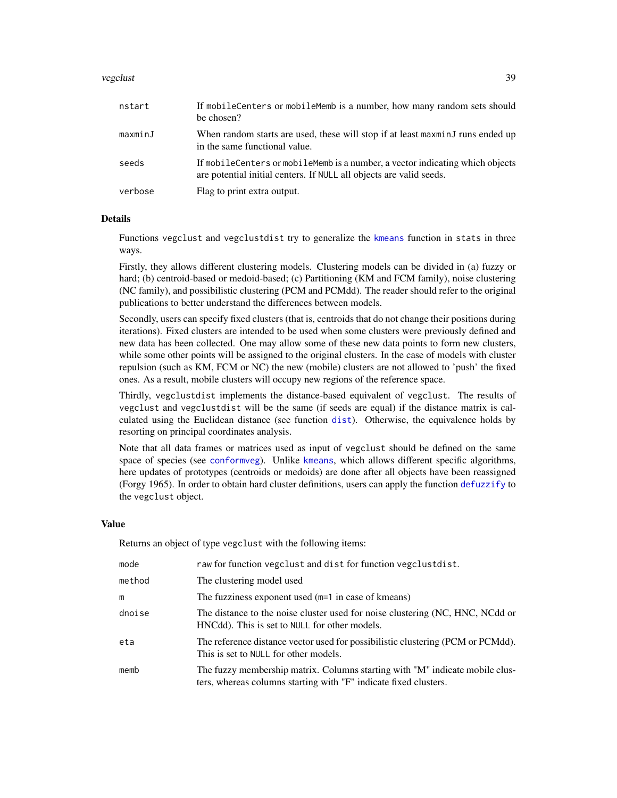#### <span id="page-38-0"></span>vegclust 39

| nstart  | If mobile Centers or mobile Memb is a number, how many random sets should<br>be chosen?                                                              |
|---------|------------------------------------------------------------------------------------------------------------------------------------------------------|
| maxminJ | When random starts are used, these will stop if at least maxminJ runs ended up<br>in the same functional value.                                      |
| seeds   | If mobileCenters or mobileMemb is a number, a vector indicating which objects<br>are potential initial centers. If NULL all objects are valid seeds. |
| verbose | Flag to print extra output.                                                                                                                          |

## **Details**

Functions vegclust and vegclustdist try to generalize the [kmeans](#page-0-0) function in stats in three ways.

Firstly, they allows different clustering models. Clustering models can be divided in (a) fuzzy or hard; (b) centroid-based or medoid-based; (c) Partitioning (KM and FCM family), noise clustering (NC family), and possibilistic clustering (PCM and PCMdd). The reader should refer to the original publications to better understand the differences between models.

Secondly, users can specify fixed clusters (that is, centroids that do not change their positions during iterations). Fixed clusters are intended to be used when some clusters were previously defined and new data has been collected. One may allow some of these new data points to form new clusters, while some other points will be assigned to the original clusters. In the case of models with cluster repulsion (such as KM, FCM or NC) the new (mobile) clusters are not allowed to 'push' the fixed ones. As a result, mobile clusters will occupy new regions of the reference space.

Thirdly, vegclustdist implements the distance-based equivalent of vegclust. The results of vegclust and vegclustdist will be the same (if seeds are equal) if the distance matrix is calculated using the Euclidean distance (see function [dist](#page-0-0)). Otherwise, the equivalence holds by resorting on principal coordinates analysis.

Note that all data frames or matrices used as input of vegclust should be defined on the same space of species (see [conformveg](#page-16-1)). Unlike [kmeans](#page-0-0), which allows different specific algorithms, here updates of prototypes (centroids or medoids) are done after all objects have been reassigned (Forgy 1965). In order to obtain hard cluster definitions, users can apply the function [defuzzify](#page-18-1) to the vegclust object.

#### Value

Returns an object of type vegclust with the following items:

| mode   | raw for function vegclust and dist for function vegclustdist.                                                                                    |
|--------|--------------------------------------------------------------------------------------------------------------------------------------------------|
| method | The clustering model used                                                                                                                        |
| m      | The fuzziness exponent used $(m=1$ in case of kmeans)                                                                                            |
| dnoise | The distance to the noise cluster used for noise clustering (NC, HNC, NCdd or<br>HNCdd). This is set to NULL for other models.                   |
| eta    | The reference distance vector used for possibilistic clustering (PCM or PCMdd).<br>This is set to NULL for other models.                         |
| memb   | The fuzzy membership matrix. Columns starting with "M" indicate mobile clus-<br>ters, whereas columns starting with "F" indicate fixed clusters. |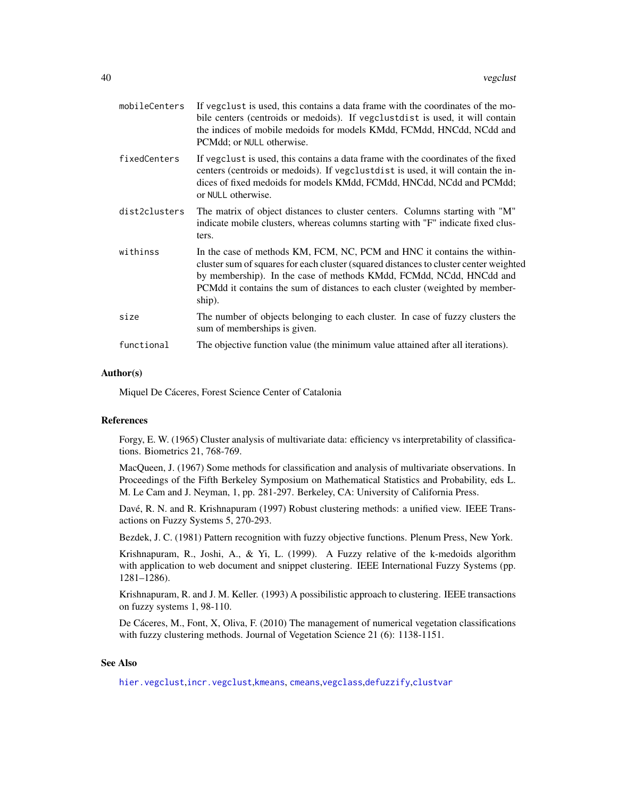<span id="page-39-0"></span>

| mobileCenters | If vegclust is used, this contains a data frame with the coordinates of the mo-<br>bile centers (centroids or medoids). If vegclustdist is used, it will contain<br>the indices of mobile medoids for models KMdd, FCMdd, HNCdd, NCdd and<br>PCMdd; or NULL otherwise.                                                           |
|---------------|----------------------------------------------------------------------------------------------------------------------------------------------------------------------------------------------------------------------------------------------------------------------------------------------------------------------------------|
| fixedCenters  | If vegclust is used, this contains a data frame with the coordinates of the fixed<br>centers (centroids or medoids). If vegclustdist is used, it will contain the in-<br>dices of fixed medoids for models KMdd, FCMdd, HNCdd, NCdd and PCMdd;<br>or NULL otherwise.                                                             |
| dist2clusters | The matrix of object distances to cluster centers. Columns starting with "M"<br>indicate mobile clusters, whereas columns starting with "F" indicate fixed clus-<br>ters.                                                                                                                                                        |
| withinss      | In the case of methods KM, FCM, NC, PCM and HNC it contains the within-<br>cluster sum of squares for each cluster (squared distances to cluster center weighted<br>by membership). In the case of methods KMdd, FCMdd, NCdd, HNCdd and<br>PCMdd it contains the sum of distances to each cluster (weighted by member-<br>ship). |
| size          | The number of objects belonging to each cluster. In case of fuzzy clusters the<br>sum of memberships is given.                                                                                                                                                                                                                   |
| functional    | The objective function value (the minimum value attained after all iterations).                                                                                                                                                                                                                                                  |

#### Author(s)

Miquel De Cáceres, Forest Science Center of Catalonia

#### References

Forgy, E. W. (1965) Cluster analysis of multivariate data: efficiency vs interpretability of classifications. Biometrics 21, 768-769.

MacQueen, J. (1967) Some methods for classification and analysis of multivariate observations. In Proceedings of the Fifth Berkeley Symposium on Mathematical Statistics and Probability, eds L. M. Le Cam and J. Neyman, 1, pp. 281-297. Berkeley, CA: University of California Press.

Davé, R. N. and R. Krishnapuram (1997) Robust clustering methods: a unified view. IEEE Transactions on Fuzzy Systems 5, 270-293.

Bezdek, J. C. (1981) Pattern recognition with fuzzy objective functions. Plenum Press, New York.

Krishnapuram, R., Joshi, A., & Yi, L. (1999). A Fuzzy relative of the k-medoids algorithm with application to web document and snippet clustering. IEEE International Fuzzy Systems (pp. 1281–1286).

Krishnapuram, R. and J. M. Keller. (1993) A possibilistic approach to clustering. IEEE transactions on fuzzy systems 1, 98-110.

De Cáceres, M., Font, X, Oliva, F. (2010) The management of numerical vegetation classifications with fuzzy clustering methods. Journal of Vegetation Science 21 (6): 1138-1151.

## See Also

[hier.vegclust](#page-21-1),[incr.vegclust](#page-23-1),[kmeans](#page-0-0), [cmeans](#page-0-0),[vegclass](#page-35-1),[defuzzify](#page-18-1),[clustvar](#page-13-1)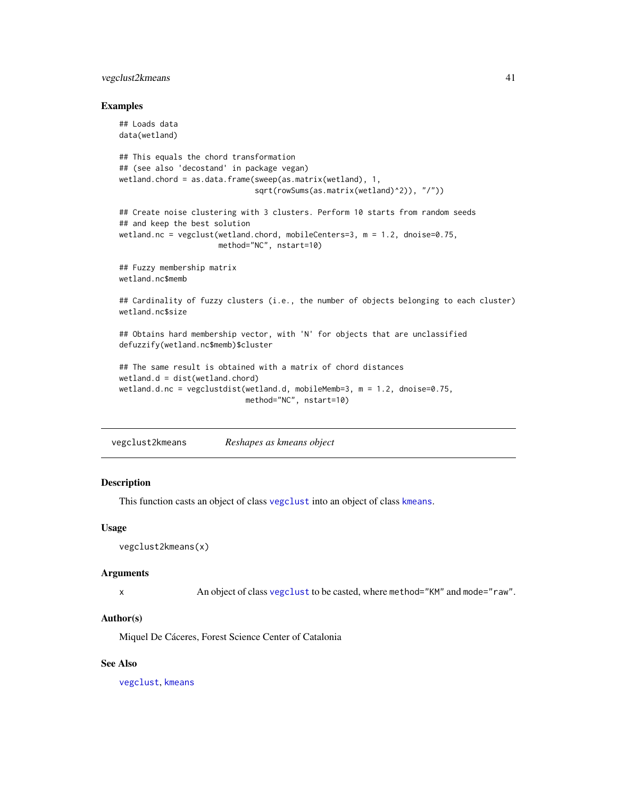## <span id="page-40-0"></span>vegclust2kmeans 41

#### Examples

```
## Loads data
data(wetland)
## This equals the chord transformation
## (see also 'decostand' in package vegan)
wetland.chord = as.data.frame(sweep(as.matrix(wetland), 1,
                              sqrt(rowSums(as.matrix(wetland)^2)), "/"))
## Create noise clustering with 3 clusters. Perform 10 starts from random seeds
## and keep the best solution
wetland.nc = vegclust(wetland.chord, mobileCenters=3, m = 1.2, dnoise=0.75,
                     method="NC", nstart=10)
## Fuzzy membership matrix
wetland.nc$memb
## Cardinality of fuzzy clusters (i.e., the number of objects belonging to each cluster)
wetland.nc$size
## Obtains hard membership vector, with 'N' for objects that are unclassified
defuzzify(wetland.nc$memb)$cluster
## The same result is obtained with a matrix of chord distances
wetland.d = dist(wetland.chord)
wetland.d.nc = vegclustdist(wetland.d, mobileMemb=3, m = 1.2, dnoise=0.75,
                            method="NC", nstart=10)
```
vegclust2kmeans *Reshapes as kmeans object*

#### **Description**

This function casts an object of class [vegclust](#page-37-1) into an object of class [kmeans](#page-0-0).

#### Usage

```
vegclust2kmeans(x)
```
#### Arguments

x An object of class [vegclust](#page-37-1) to be casted, where method="KM" and mode="raw".

#### Author(s)

Miquel De Cáceres, Forest Science Center of Catalonia

## See Also

[vegclust](#page-37-1), [kmeans](#page-0-0)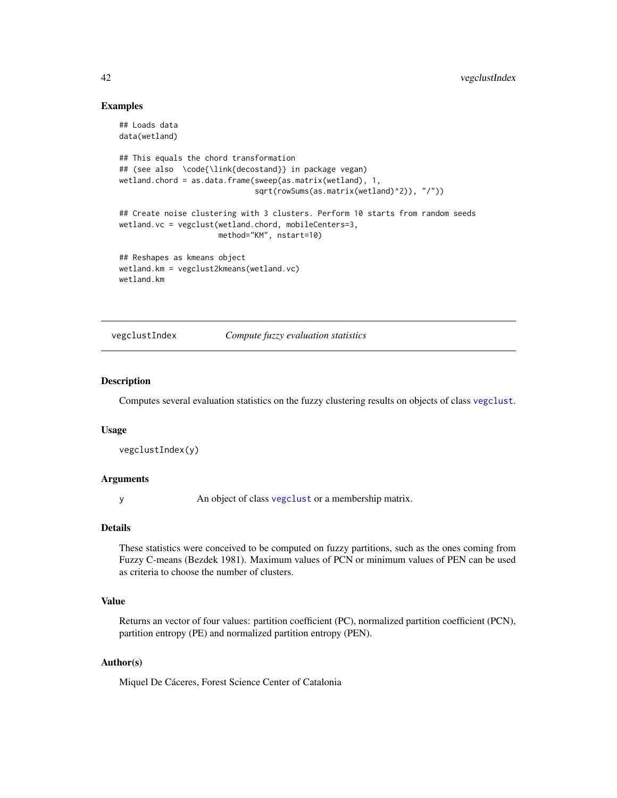## Examples

```
## Loads data
data(wetland)
## This equals the chord transformation
## (see also \code{\link{decostand}} in package vegan)
wetland.chord = as.data.frame(sweep(as.matrix(wetland), 1,
                              sqrt(rowSums(as.matrix(wetland)^2)), "/"))
## Create noise clustering with 3 clusters. Perform 10 starts from random seeds
wetland.vc = vegclust(wetland.chord, mobileCenters=3,
                      method="KM", nstart=10)
## Reshapes as kmeans object
wetland.km = vegclust2kmeans(wetland.vc)
wetland.km
```
vegclustIndex *Compute fuzzy evaluation statistics*

## Description

Computes several evaluation statistics on the fuzzy clustering results on objects of class [vegclust](#page-37-1).

#### Usage

```
vegclustIndex(y)
```
#### Arguments

y An object of class [vegclust](#page-37-1) or a membership matrix.

#### Details

These statistics were conceived to be computed on fuzzy partitions, such as the ones coming from Fuzzy C-means (Bezdek 1981). Maximum values of PCN or minimum values of PEN can be used as criteria to choose the number of clusters.

## Value

Returns an vector of four values: partition coefficient (PC), normalized partition coefficient (PCN), partition entropy (PE) and normalized partition entropy (PEN).

## Author(s)

Miquel De Cáceres, Forest Science Center of Catalonia

<span id="page-41-0"></span>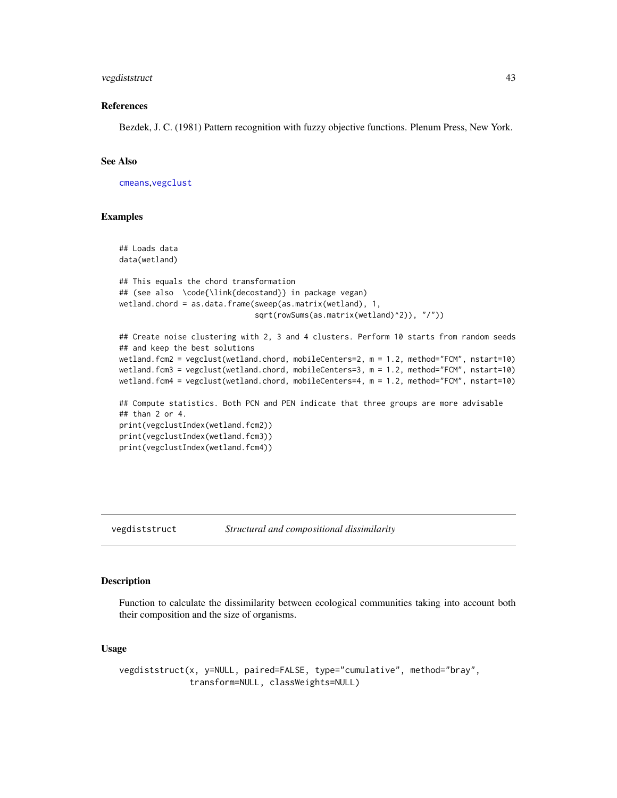## <span id="page-42-0"></span>vegdiststruct 43

#### References

Bezdek, J. C. (1981) Pattern recognition with fuzzy objective functions. Plenum Press, New York.

#### See Also

[cmeans](#page-0-0),[vegclust](#page-37-1)

## Examples

```
## Loads data
data(wetland)
## This equals the chord transformation
## (see also \code{\link{decostand}} in package vegan)
wetland.chord = as.data.frame(sweep(as.matrix(wetland), 1,
                              sqrt(rowSums(as.matrix(wetland)^2)), "/"))
## Create noise clustering with 2, 3 and 4 clusters. Perform 10 starts from random seeds
## and keep the best solutions
wetland.fcm2 = vegclust(wetland.chord, mobileCenters=2, m = 1.2, method="FCM", nstart=10)
wetland.fcm3 = vegclust(wetland.chord, mobileCenters=3, m = 1.2, method="FCM", nstart=10)
wetland.fcm4 = vegclust(wetland.chord, mobileCenters=4, m = 1.2, method="FCM", nstart=10)
## Compute statistics. Both PCN and PEN indicate that three groups are more advisable
## than 2 or 4.
print(vegclustIndex(wetland.fcm2))
print(vegclustIndex(wetland.fcm3))
print(vegclustIndex(wetland.fcm4))
```
#### <span id="page-42-1"></span>vegdiststruct *Structural and compositional dissimilarity*

## Description

Function to calculate the dissimilarity between ecological communities taking into account both their composition and the size of organisms.

#### Usage

vegdiststruct(x, y=NULL, paired=FALSE, type="cumulative", method="bray", transform=NULL, classWeights=NULL)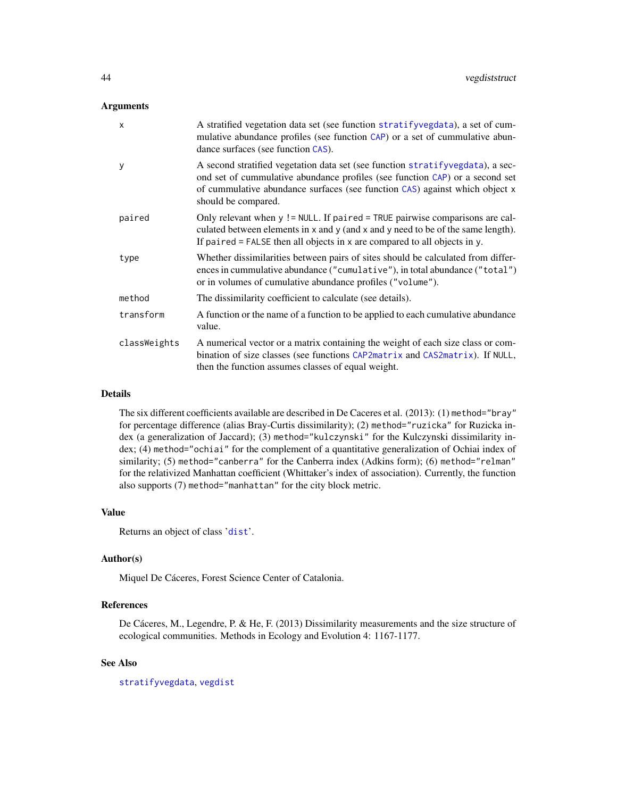#### <span id="page-43-0"></span>Arguments

| $\boldsymbol{\mathsf{x}}$ | A stratified vegetation data set (see function stratifyvegdata), a set of cum-<br>mulative abundance profiles (see function CAP) or a set of cummulative abun-<br>dance surfaces (see function CAS).                                                                 |
|---------------------------|----------------------------------------------------------------------------------------------------------------------------------------------------------------------------------------------------------------------------------------------------------------------|
| y                         | A second stratified vegetation data set (see function stratifyvegdata), a sec-<br>ond set of cummulative abundance profiles (see function CAP) or a second set<br>of cummulative abundance surfaces (see function CAS) against which object x<br>should be compared. |
| paired                    | Only relevant when y != NULL. If paired = TRUE pairwise comparisons are cal-<br>culated between elements in x and y (and x and y need to be of the same length).<br>If paired $=$ FALSE then all objects in x are compared to all objects in y.                      |
| type                      | Whether dissimilarities between pairs of sites should be calculated from differ-<br>ences in cummulative abundance ("cumulative"), in total abundance ("total")<br>or in volumes of cumulative abundance profiles ("volume").                                        |
| method                    | The dissimilarity coefficient to calculate (see details).                                                                                                                                                                                                            |
| transform                 | A function or the name of a function to be applied to each cumulative abundance<br>value.                                                                                                                                                                            |
| classWeights              | A numerical vector or a matrix containing the weight of each size class or com-<br>bination of size classes (see functions CAP2matrix and CAS2matrix). If NULL,<br>then the function assumes classes of equal weight.                                                |

#### Details

The six different coefficients available are described in De Caceres et al. (2013): (1) method="bray" for percentage difference (alias Bray-Curtis dissimilarity); (2) method="ruzicka" for Ruzicka index (a generalization of Jaccard); (3) method="kulczynski" for the Kulczynski dissimilarity index; (4) method="ochiai" for the complement of a quantitative generalization of Ochiai index of similarity; (5) method="canberra" for the Canberra index (Adkins form); (6) method="relman" for the relativized Manhattan coefficient (Whittaker's index of association). Currently, the function also supports (7) method="manhattan" for the city block metric.

#### Value

Returns an object of class '[dist](#page-0-0)'.

## Author(s)

Miquel De Cáceres, Forest Science Center of Catalonia.

## References

De Cáceres, M., Legendre, P. & He, F. (2013) Dissimilarity measurements and the size structure of ecological communities. Methods in Ecology and Evolution 4: 1167-1177.

## See Also

[stratifyvegdata](#page-32-1), [vegdist](#page-0-0)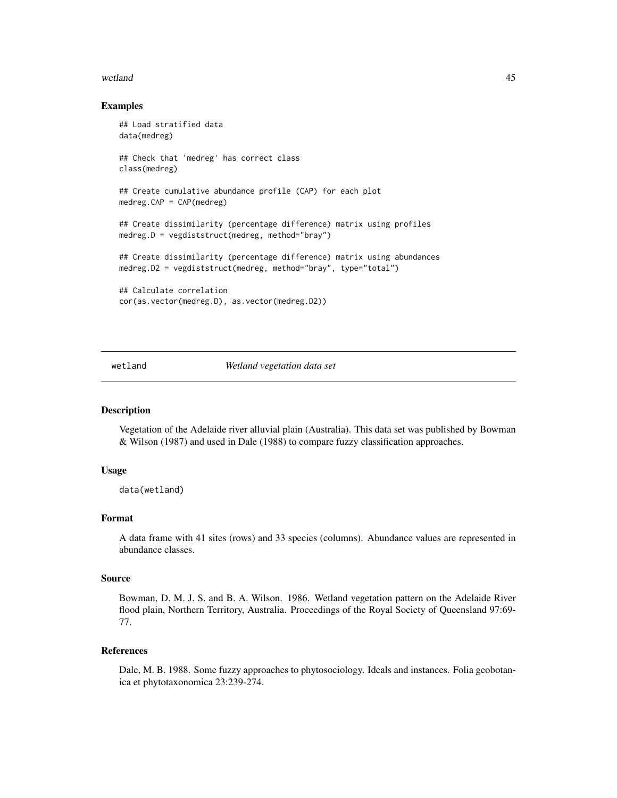#### <span id="page-44-0"></span>wetland **45**

#### Examples

```
## Load stratified data
data(medreg)
## Check that 'medreg' has correct class
class(medreg)
## Create cumulative abundance profile (CAP) for each plot
medreg.CAP = CAP(medreg)## Create dissimilarity (percentage difference) matrix using profiles
medreg.D = vegdiststruct(medreg, method="bray")
## Create dissimilarity (percentage difference) matrix using abundances
medreg.D2 = vegdiststruct(medreg, method="bray", type="total")
## Calculate correlation
cor(as.vector(medreg.D), as.vector(medreg.D2))
```
wetland *Wetland vegetation data set*

## Description

Vegetation of the Adelaide river alluvial plain (Australia). This data set was published by Bowman & Wilson (1987) and used in Dale (1988) to compare fuzzy classification approaches.

#### Usage

data(wetland)

#### Format

A data frame with 41 sites (rows) and 33 species (columns). Abundance values are represented in abundance classes.

#### Source

Bowman, D. M. J. S. and B. A. Wilson. 1986. Wetland vegetation pattern on the Adelaide River flood plain, Northern Territory, Australia. Proceedings of the Royal Society of Queensland 97:69- 77.

## References

Dale, M. B. 1988. Some fuzzy approaches to phytosociology. Ideals and instances. Folia geobotanica et phytotaxonomica 23:239-274.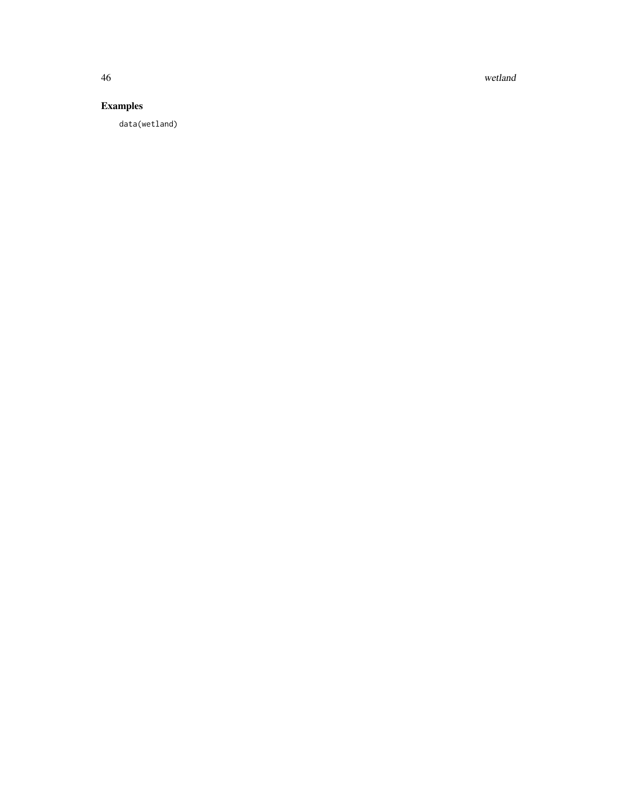46 wetland

## Examples

data(wetland)